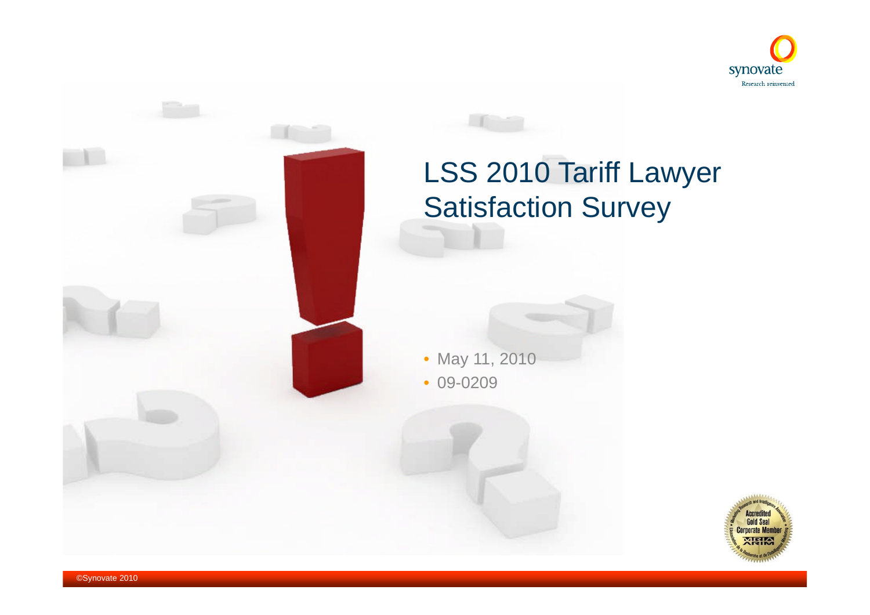

# LSS 2010 Tariff Lawyer Satisfaction Survey

• May 11, 2010

• 09-0209

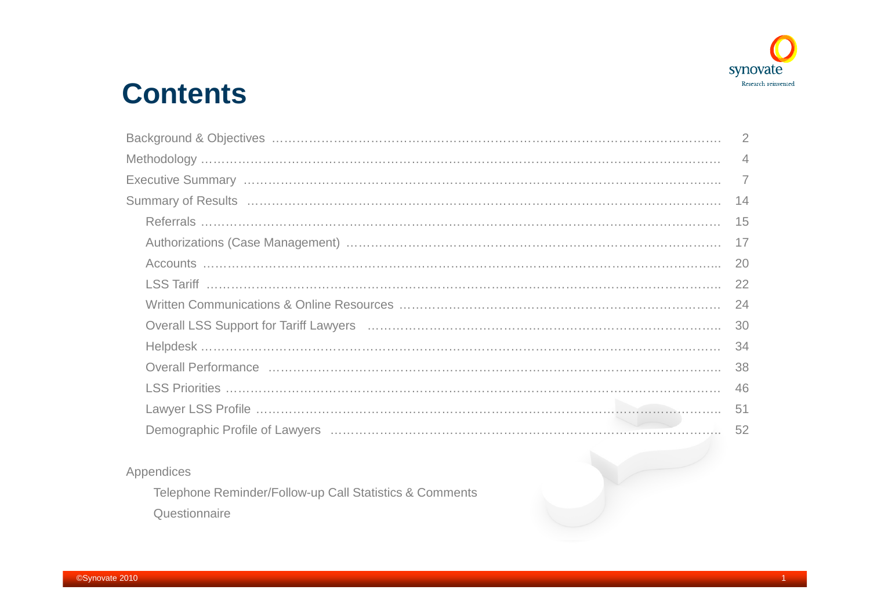

# **Contents**

| $\overline{4}$ |
|----------------|
|                |
|                |
| -15            |
| 17             |
| 20             |
|                |
| -24            |
|                |
|                |
|                |
|                |
| -51            |
| 52             |
|                |

#### Appendices

Telephone Reminder/Follow-up Call Statistics & Comments **Questionnaire**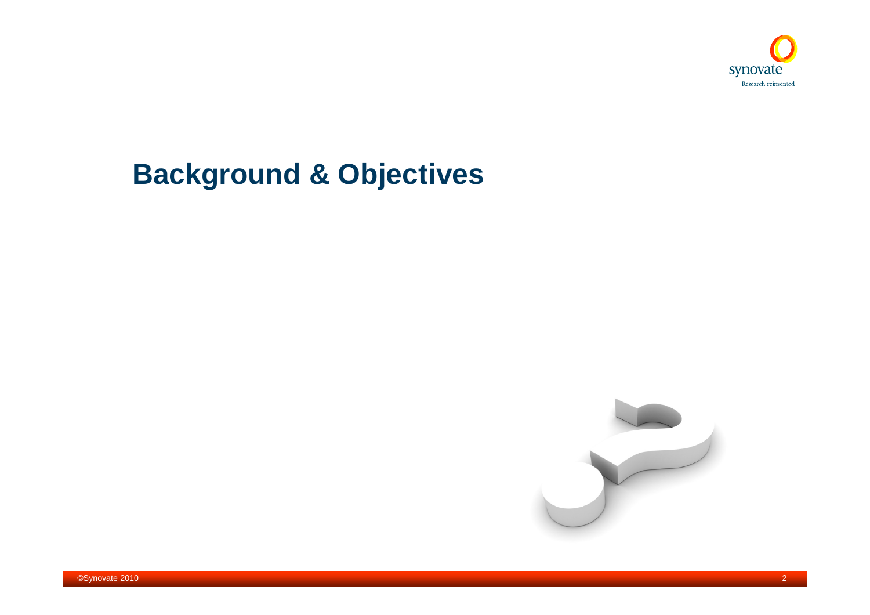

# **Background & Objectives**



2©Synovate 2010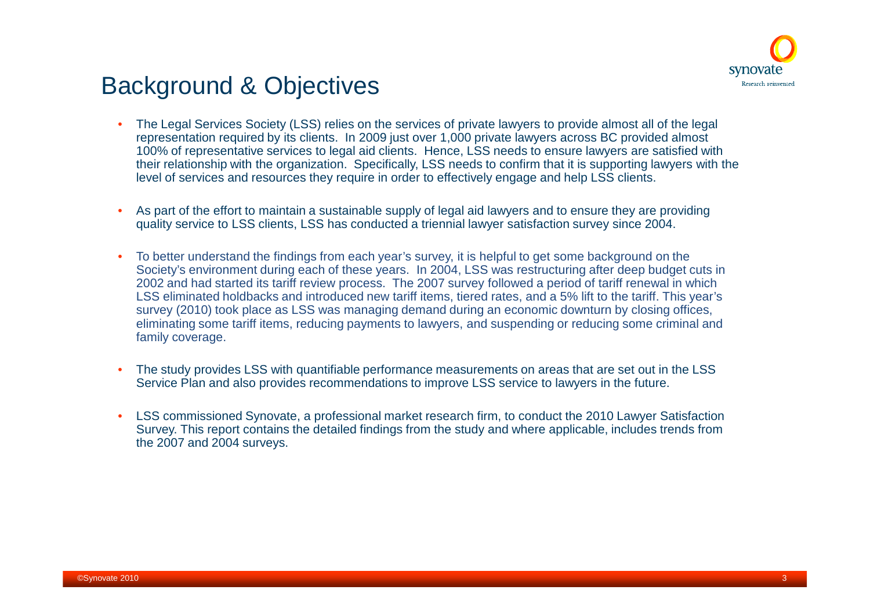

### Background & Objectives

- The Legal Services Society (LSS) relies on the services of private lawyers to provide almost all of the legal representation required by its clients. In 2009 just over 1,000 private lawyers across BC provided almost 100% of representative services to legal aid clients. Hence, LSS needs to ensure lawyers are satisfied with their relationship with the organization. Specifically, LSS needs to confirm that it is supporting lawyers with the level of services and resources they require in order to effectively engage and help LSS clients.
- As part of the effort to maintain a sustainable supply of legal aid lawyers and to ensure they are providing quality service to LSS clients, LSS has conducted a triennial lawyer satisfaction survey since 2004.
- To better understand the findings from each year's survey, it is helpful to get some background on the Society's environment during each of these years. In 2004, LSS was restructuring after deep budget cuts in 2002 and had started its tariff review process. The 2007 survey followed a period of tariff renewal in which LSS eliminated holdbacks and introduced new tariff items, tiered rates, and a 5% lift to the tariff. This year's survey (2010) took place as LSS was managing demand during an economic downturn by closing offices, eliminating some tariff items, reducing payments to lawyers, and suspending or reducing some criminal and family coverage.
- The study provides LSS with quantifiable performance measurements on areas that are set out in the LSS Service Plan and also provides recommendations to improve LSS service to lawyers in the future.
- LSS commissioned Synovate, a professional market research firm, to conduct the 2010 Lawyer Satisfaction Survey. This report contains the detailed findings from the study and where applicable, includes trends from the 2007 and 2004 surveys.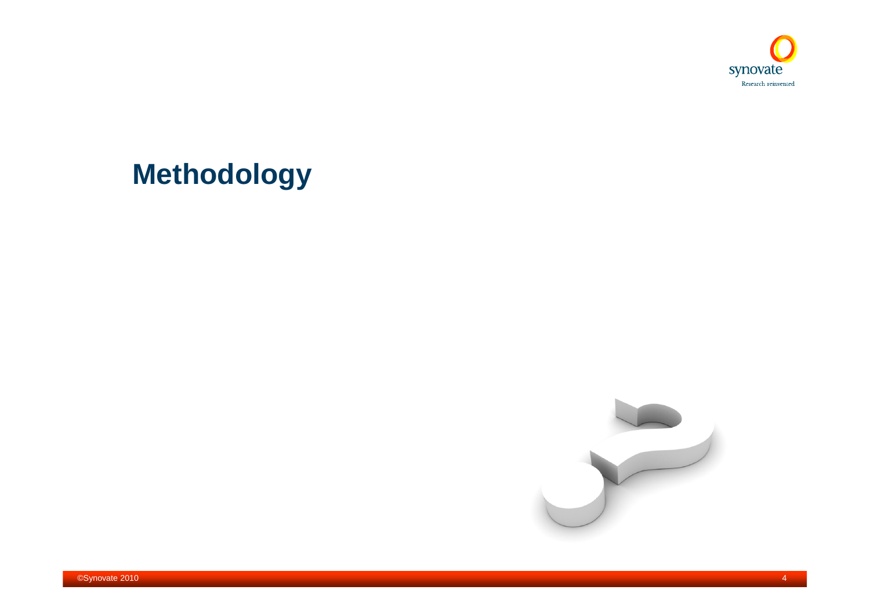

# **Methodology**

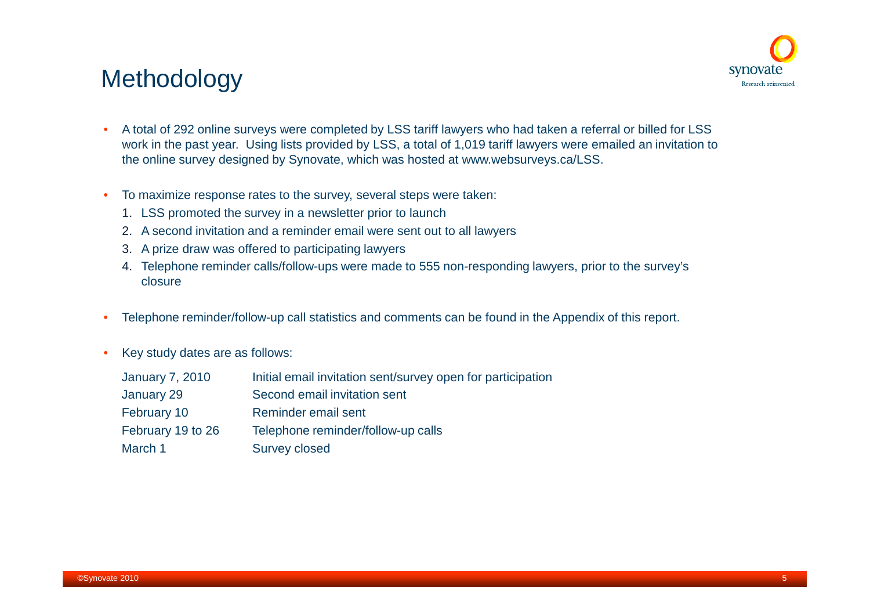

### **Methodology**

- A total of 292 online surveys were completed by LSS tariff lawyers who had taken a referral or billed for LSS work in the past year. Using lists provided by LSS, a total of 1,019 tariff lawyers were emailed an invitation to the online survey designed by Synovate, which was hosted at www.websurveys.ca/LSS.
- To maximize response rates to the survey, several steps were taken:
	- 1. LSS promoted the survey in a newsletter prior to launch
	- 2. A second invitation and a reminder email were sent out to all lawyers
	- 3. A prize draw was offered to participating lawyers
	- 4. Telephone reminder calls/follow-ups were made to 555 non-responding lawyers, prior to the survey's closure
- Telephone reminder/follow-up call statistics and comments can be found in the Appendix of this report.
- Key study dates are as follows:

| <b>January 7, 2010</b> | Initial email invitation sent/survey open for participation |
|------------------------|-------------------------------------------------------------|
| January 29             | Second email invitation sent                                |
| February 10            | Reminder email sent                                         |
| February 19 to 26      | Telephone reminder/follow-up calls                          |
| March 1                | <b>Survey closed</b>                                        |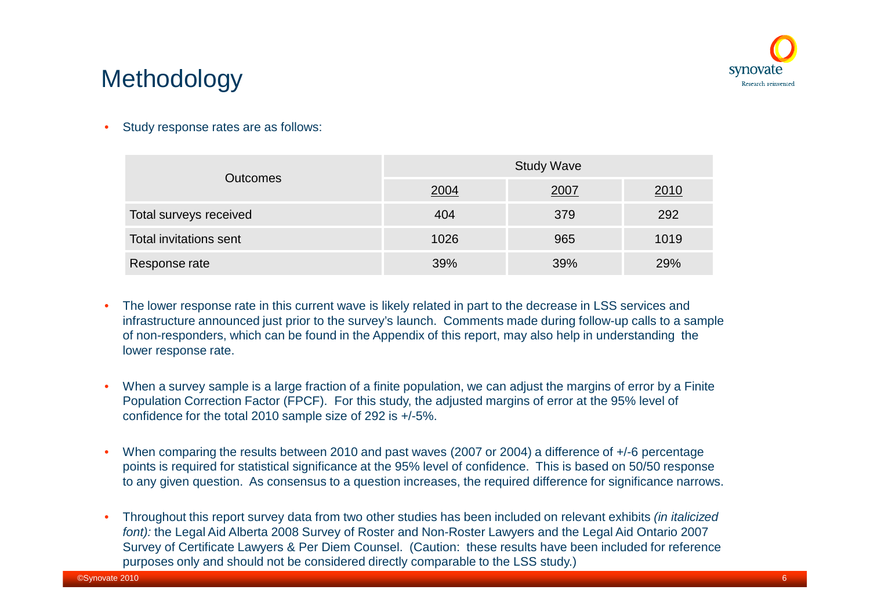

## Methodology

Study response rates are as follows:

| <b>Outcomes</b>        | <b>Study Wave</b> |      |             |  |  |  |
|------------------------|-------------------|------|-------------|--|--|--|
|                        | 2004              | 2007 | <u>2010</u> |  |  |  |
| Total surveys received | 404               | 379  | 292         |  |  |  |
| Total invitations sent | 1026              | 965  | 1019        |  |  |  |
| Response rate          | 39%               | 39%  | 29%         |  |  |  |

- The lower response rate in this current wave is likely related in part to the decrease in LSS services and infrastructure announced just prior to the survey's launch. Comments made during follow-up calls to a sample of non-responders, which can be found in the Appendix of this report, may also help in understanding the lower response rate.
- When a survey sample is a large fraction of a finite population, we can adjust the margins of error by a Finite Population Correction Factor (FPCF). For this study, the adjusted margins of error at the 95% level of confidence for the total 2010 sample size of 292 is +/-5%.
- When comparing the results between 2010 and past waves (2007 or 2004) a difference of +/-6 percentage points is required for statistical significance at the 95% level of confidence. This is based on 50/50 response to any given question. As consensus to a question increases, the required difference for significance narrows.
- Throughout this report survey data from two other studies has been included on relevant exhibits *(in italicized font):* the Legal Aid Alberta 2008 Survey of Roster and Non-Roster Lawyers and the Legal Aid Ontario 2007 Survey of Certificate Lawyers & Per Diem Counsel. (Caution: these results have been included for reference purposes only and should not be considered directly comparable to the LSS study.)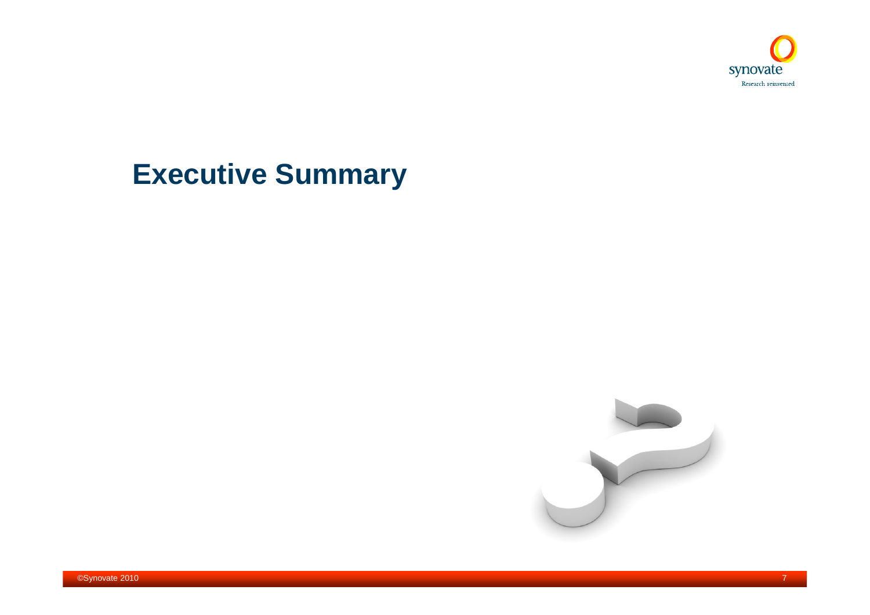

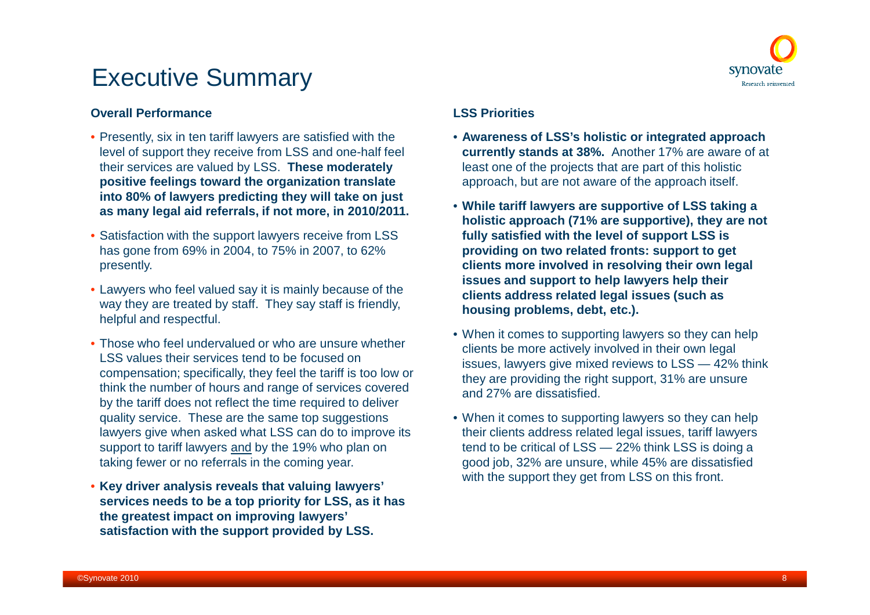

#### **Overall Performance**

- Presently, six in ten tariff lawyers are satisfied with the level of support they receive from LSS and one-half feel their services are valued by LSS. **These moderately positive feelings toward the organization translate into 80% of lawyers predicting they will take on just as many legal aid referrals, if not more, in 2010/2011.**
- Satisfaction with the support lawyers receive from LSS has gone from 69% in 2004, to 75% in 2007, to 62% presently.
- Lawyers who feel valued say it is mainly because of the way they are treated by staff. They say staff is friendly, helpful and respectful.
- Those who feel undervalued or who are unsure whether LSS values their services tend to be focused on compensation; specifically, they feel the tariff is too low or think the number of hours and range of services covered by the tariff does not reflect the time required to deliver quality service. These are the same top suggestions lawyers give when asked what LSS can do to improve its support to tariff lawyers and by the 19% who plan on taking fewer or no referrals in the coming year.
- **Key driver analysis reveals that valuing lawyers' services needs to be a top priority for LSS, as it has the greatest impact on improving lawyers' satisfaction with the support provided by LSS.**

#### **LSS Priorities**

- **Awareness of LSS's holistic or integrated approach currently stands at 38%.** Another 17% are aware of at least one of the projects that are part of this holistic approach, but are not aware of the approach itself.
- **While tariff lawyers are supportive of LSS taking a holistic approach (71% are supportive), they are not fully satisfied with the level of support LSS is providing on two related fronts: support to get clients more involved in resolving their own legal issues and support to help lawyers help their clients address related legal issues (such as housing problems, debt, etc.).**
- When it comes to supporting lawyers so they can help clients be more actively involved in their own legal issues, lawyers give mixed reviews to LSS — 42% think they are providing the right support, 31% are unsure and 27% are dissatisfied.
- When it comes to supporting lawyers so they can help their clients address related legal issues, tariff lawyers tend to be critical of LSS — 22% think LSS is doing a good job, 32% are unsure, while 45% are dissatisfied with the support they get from LSS on this front.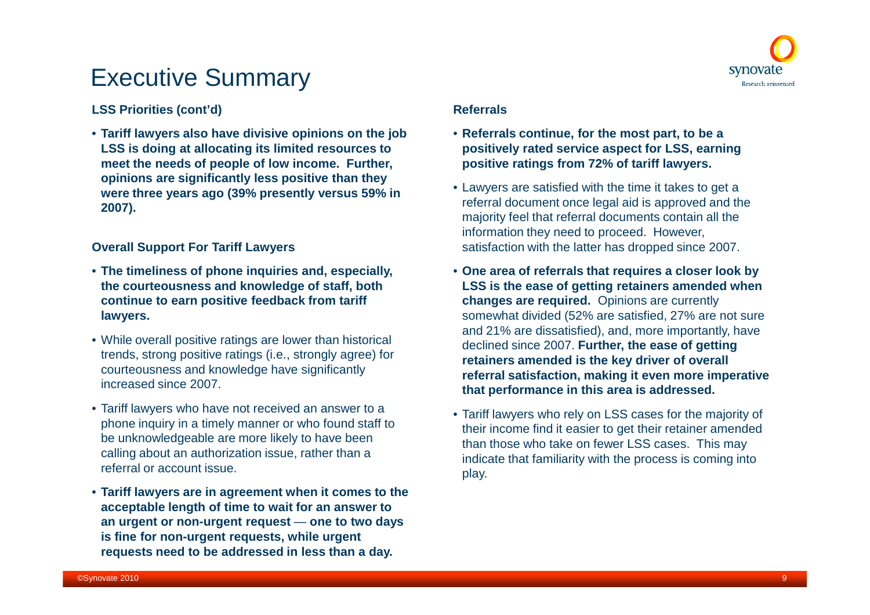

#### **LSS Priorities (cont'd)**

• **Tariff lawyers also have divisive opinions on the job LSS is doing at allocating its limited resources to meet the needs of people of low income. Further, opinions are significantly less positive than they were three years ago (39% presently versus 59% in 2007).**

#### **Overall Support For Tariff Lawyers**

- **The timeliness of phone inquiries and, especially, the courteousness and knowledge of staff, both continue to earn positive feedback from tariff lawyers.**
- While overall positive ratings are lower than historical trends, strong positive ratings (i.e., strongly agree) for courteousness and knowledge have significantly increased since 2007.
- Tariff lawyers who have not received an answer to a phone inquiry in a timely manner or who found staff to be unknowledgeable are more likely to have been calling about an authorization issue, rather than a referral or account issue.
- **Tariff lawyers are in agreement when it comes to the acceptable length of time to wait for an answer to an urgent or non-urgent request** — **one to two days is fine for non-urgent requests, while urgent requests need to be addressed in less than a day.**

#### **Referrals**

- **Referrals continue, for the most part, to be a positively rated service aspect for LSS, earning positive ratings from 72% of tariff lawyers.**
- Lawyers are satisfied with the time it takes to get a referral document once legal aid is approved and the majority feel that referral documents contain all the information they need to proceed. However, satisfaction with the latter has dropped since 2007.
- **One area of referrals that requires a closer look by LSS is the ease of getting retainers amended when changes are required.** Opinions are currently somewhat divided (52% are satisfied, 27% are not sure and 21% are dissatisfied), and, more importantly, have declined since 2007. **Further, the ease of getting retainers amended is the key driver of overall referral satisfaction, making it even more imperative that performance in this area is addressed.**
- Tariff lawyers who rely on LSS cases for the majority of their income find it easier to get their retainer amended than those who take on fewer LSS cases. This may indicate that familiarity with the process is coming into play.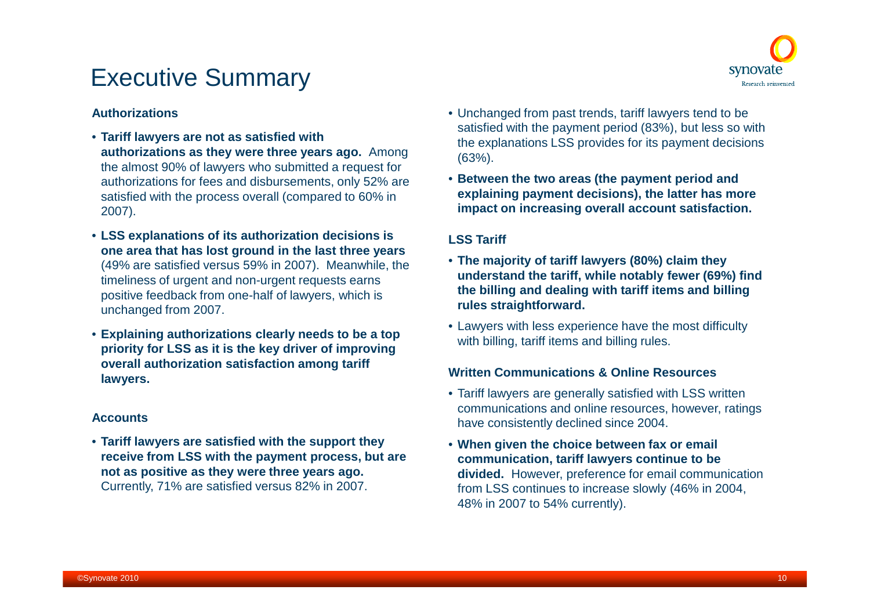

#### **Authorizations**

- **Tariff lawyers are not as satisfied with authorizations as they were three years ago.** Among the almost 90% of lawyers who submitted a request for authorizations for fees and disbursements, only 52% are satisfied with the process overall (compared to 60% in 2007).
- **LSS explanations of its authorization decisions is one area that has lost ground in the last three years** (49% are satisfied versus 59% in 2007). Meanwhile, the timeliness of urgent and non-urgent requests earns positive feedback from one-half of lawyers, which is unchanged from 2007.
- **Explaining authorizations clearly needs to be a top priority for LSS as it is the key driver of improving overall authorization satisfaction among tariff lawyers.**

#### **Accounts**

• **Tariff lawyers are satisfied with the support they receive from LSS with the payment process, but are not as positive as they were three years ago.** Currently, 71% are satisfied versus 82% in 2007.

- Unchanged from past trends, tariff lawyers tend to be satisfied with the payment period (83%), but less so with the explanations LSS provides for its payment decisions (63%).
- **Between the two areas (the payment period and explaining payment decisions), the latter has more impact on increasing overall account satisfaction.**

#### **LSS Tariff**

- **The majority of tariff lawyers (80%) claim they understand the tariff, while notably fewer (69%) find the billing and dealing with tariff items and billing rules straightforward.**
- Lawyers with less experience have the most difficulty with billing, tariff items and billing rules.

#### **Written Communications & Online Resources**

- Tariff lawyers are generally satisfied with LSS written communications and online resources, however, ratings have consistently declined since 2004.
- **When given the choice between fax or email communication, tariff lawyers continue to be divided.** However, preference for email communication from LSS continues to increase slowly (46% in 2004, 48% in 2007 to 54% currently).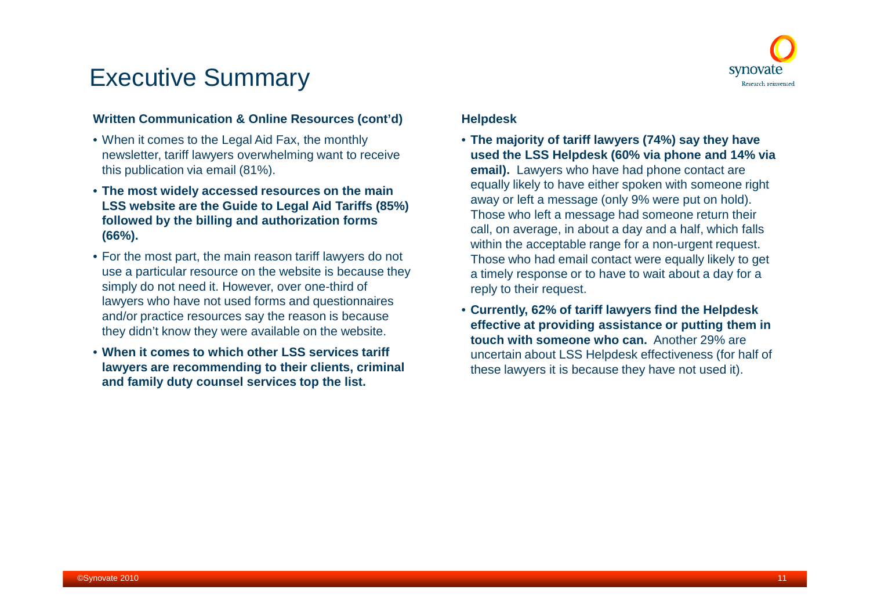

#### **Written Communication & Online Resources (cont'd)**

- When it comes to the Legal Aid Fax, the monthly newsletter, tariff lawyers overwhelming want to receive this publication via email (81%).
- **The most widely accessed resources on the main LSS website are the Guide to Legal Aid Tariffs (85%) followed by the billing and authorization forms (66%).**
- For the most part, the main reason tariff lawyers do not use a particular resource on the website is because they simply do not need it. However, over one-third of lawyers who have not used forms and questionnaires and/or practice resources say the reason is because they didn't know they were available on the website.
- **When it comes to which other LSS services tariff lawyers are recommending to their clients, criminal and family duty counsel services top the list.**

#### **Helpdesk**

- **The majority of tariff lawyers (74%) say they have used the LSS Helpdesk (60% via phone and 14% via email).** Lawyers who have had phone contact are equally likely to have either spoken with someone right away or left a message (only 9% were put on hold). Those who left a message had someone return their call, on average, in about a day and a half, which falls within the acceptable range for a non-urgent request. Those who had email contact were equally likely to get a timely response or to have to wait about a day for a reply to their request.
- **Currently, 62% of tariff lawyers find the Helpdesk effective at providing assistance or putting them in touch with someone who can.** Another 29% are uncertain about LSS Helpdesk effectiveness (for half of these lawyers it is because they have not used it).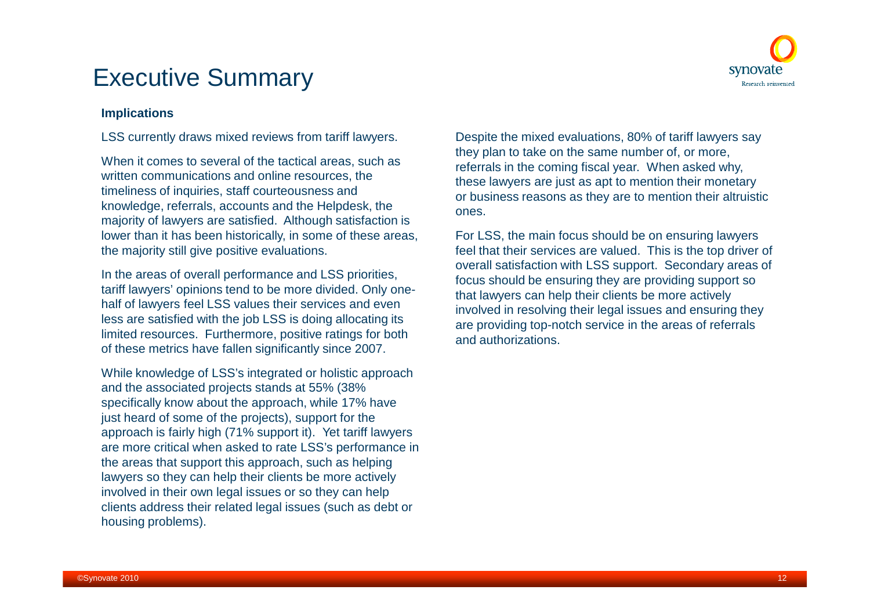

#### **Implications**

LSS currently draws mixed reviews from tariff lawyers.

When it comes to several of the tactical areas, such as written communications and online resources, the timeliness of inquiries, staff courteousness and knowledge, referrals, accounts and the Helpdesk, the majority of lawyers are satisfied. Although satisfaction is lower than it has been historically, in some of these areas, the majority still give positive evaluations.

In the areas of overall performance and LSS priorities, tariff lawyers' opinions tend to be more divided. Only onehalf of lawyers feel LSS values their services and even less are satisfied with the job LSS is doing allocating its limited resources. Furthermore, positive ratings for both of these metrics have fallen significantly since 2007.

While knowledge of LSS's integrated or holistic approach and the associated projects stands at 55% (38% specifically know about the approach, while 17% have just heard of some of the projects), support for the approach is fairly high (71% support it). Yet tariff lawyers are more critical when asked to rate LSS's performance in the areas that support this approach, such as helping lawyers so they can help their clients be more actively involved in their own legal issues or so they can help clients address their related legal issues (such as debt or housing problems).

Despite the mixed evaluations, 80% of tariff lawyers say they plan to take on the same number of, or more, referrals in the coming fiscal year. When asked why, these lawyers are just as apt to mention their monetary or business reasons as they are to mention their altruistic ones.

For LSS, the main focus should be on ensuring lawyers feel that their services are valued. This is the top driver of overall satisfaction with LSS support. Secondary areas of focus should be ensuring they are providing support so that lawyers can help their clients be more actively involved in resolving their legal issues and ensuring they are providing top-notch service in the areas of referrals and authorizations.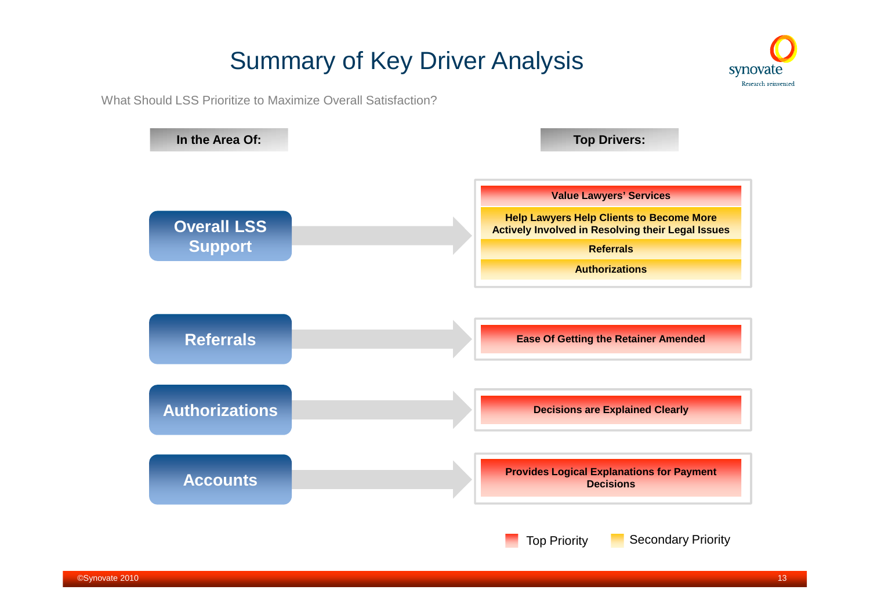# Summary of Key Driver Analysis



What Should LSS Prioritize to Maximize Overall Satisfaction?

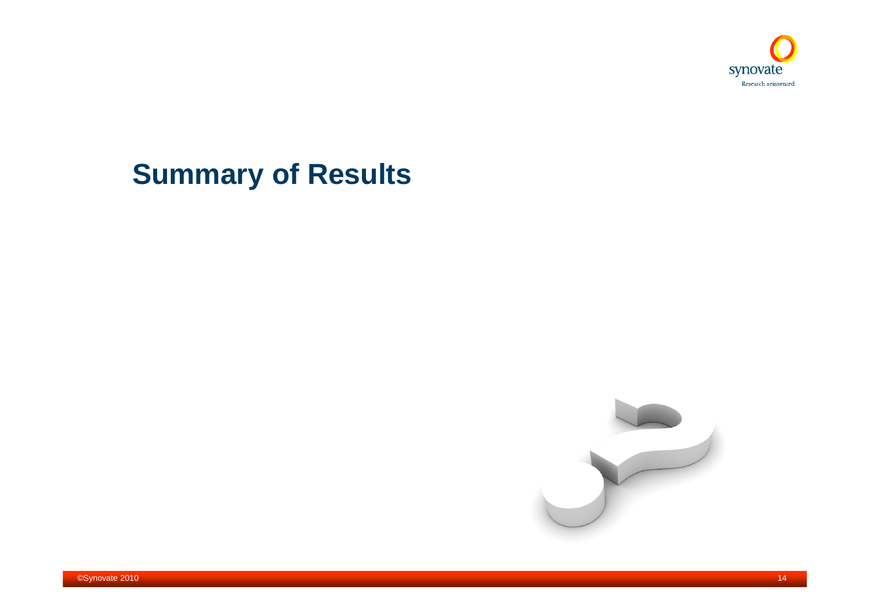

# **Summary of Results**

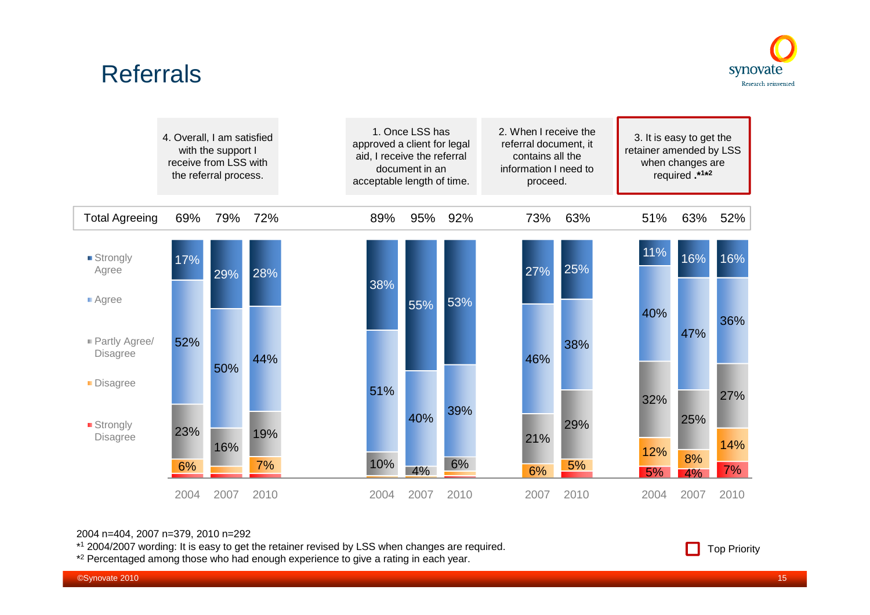### **Referrals**



|                                  | 4. Overall, I am satisfied<br>receive from LSS with | with the support I<br>the referral process. |      | approved a client for legal<br>aid, I receive the referral<br>acceptable length of time. | 1. Once LSS has<br>document in an |      | 2. When I receive the<br>referral document, it<br>contains all the<br>information I need to<br>proceed. |      | retainer amended by LSS | 3. It is easy to get the<br>when changes are<br>required.*1*2 |      |
|----------------------------------|-----------------------------------------------------|---------------------------------------------|------|------------------------------------------------------------------------------------------|-----------------------------------|------|---------------------------------------------------------------------------------------------------------|------|-------------------------|---------------------------------------------------------------|------|
| <b>Total Agreeing</b>            | 69%                                                 | 79%                                         | 72%  | 89%                                                                                      | 95%                               | 92%  | 73%                                                                                                     | 63%  | 51%                     | 63%                                                           | 52%  |
| ■ Strongly<br>Agree              | 17%                                                 | 29%                                         | 28%  | 38%                                                                                      |                                   |      | 27%                                                                                                     | 25%  | 11%                     | 16%                                                           | 16%  |
| ■ Agree                          |                                                     |                                             |      |                                                                                          | 55%                               | 53%  |                                                                                                         |      | 40%                     |                                                               |      |
| Partly Agree/<br><b>Disagree</b> | 52%                                                 | 50%                                         | 44%  |                                                                                          |                                   |      | 46%                                                                                                     | 38%  |                         | 47%                                                           | 36%  |
| Disagree                         |                                                     |                                             |      | 51%                                                                                      |                                   |      |                                                                                                         |      | 32%                     |                                                               | 27%  |
| ■ Strongly<br><b>Disagree</b>    | 23%                                                 | 16%                                         | 19%  |                                                                                          | 40%                               | 39%  | 21%                                                                                                     | 29%  |                         | 25%                                                           | 14%  |
|                                  | 6%                                                  |                                             | 7%   | 10%                                                                                      | 4%                                | 6%   | 6%                                                                                                      | 5%   | 12%<br>5%               | 8%<br>4%                                                      | 7%   |
|                                  | 2004                                                | 2007                                        | 2010 | 2004                                                                                     | 2007                              | 2010 | 2007                                                                                                    | 2010 | 2004                    | 2007                                                          | 2010 |

#### 2004 n=404, 2007 n=379, 2010 n=292

\* <sup>1</sup> 2004/2007 wording: It is easy to get the retainer revised by LSS when changes are required.

\*<sup>2</sup> Percentaged among those who had enough experience to give a rating in each year.

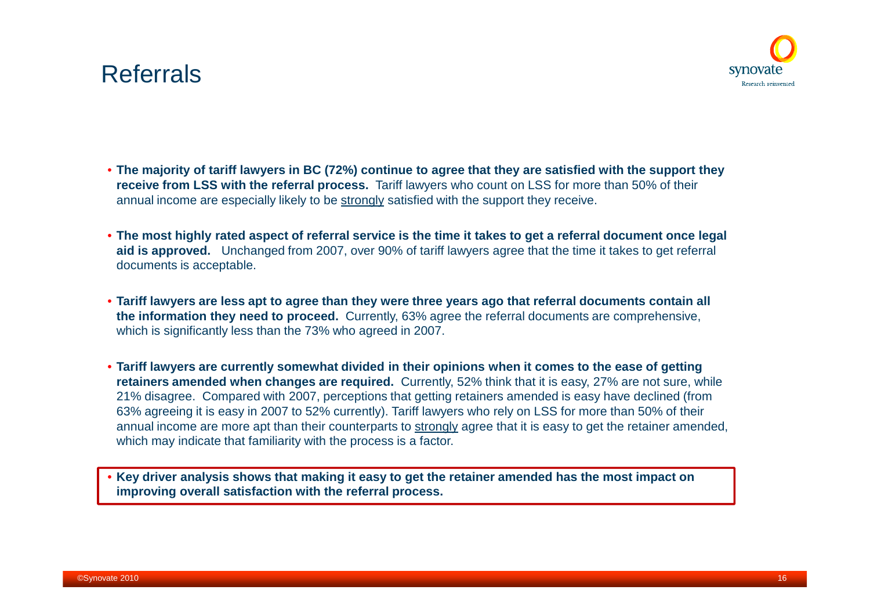### Referrals



- **The majority of tariff lawyers in BC (72%) continue to agree that they are satisfied with the support they receive from LSS with the referral process.** Tariff lawyers who count on LSS for more than 50% of their annual income are especially likely to be strongly satisfied with the support they receive.
- **The most highly rated aspect of referral service is the time it takes to get a referral document once legal aid is approved.** Unchanged from 2007, over 90% of tariff lawyers agree that the time it takes to get referral documents is acceptable.
- **Tariff lawyers are less apt to agree than they were three years ago that referral documents contain all the information they need to proceed.** Currently, 63% agree the referral documents are comprehensive, which is significantly less than the 73% who agreed in 2007.
- **Tariff lawyers are currently somewhat divided in their opinions when it comes to the ease of getting retainers amended when changes are required.** Currently, 52% think that it is easy, 27% are not sure, while 21% disagree. Compared with 2007, perceptions that getting retainers amended is easy have declined (from 63% agreeing it is easy in 2007 to 52% currently). Tariff lawyers who rely on LSS for more than 50% of their annual income are more apt than their counterparts to strongly agree that it is easy to get the retainer amended, which may indicate that familiarity with the process is a factor.

• **Key driver analysis shows that making it easy to get the retainer amended has the most impact on improving overall satisfaction with the referral process.**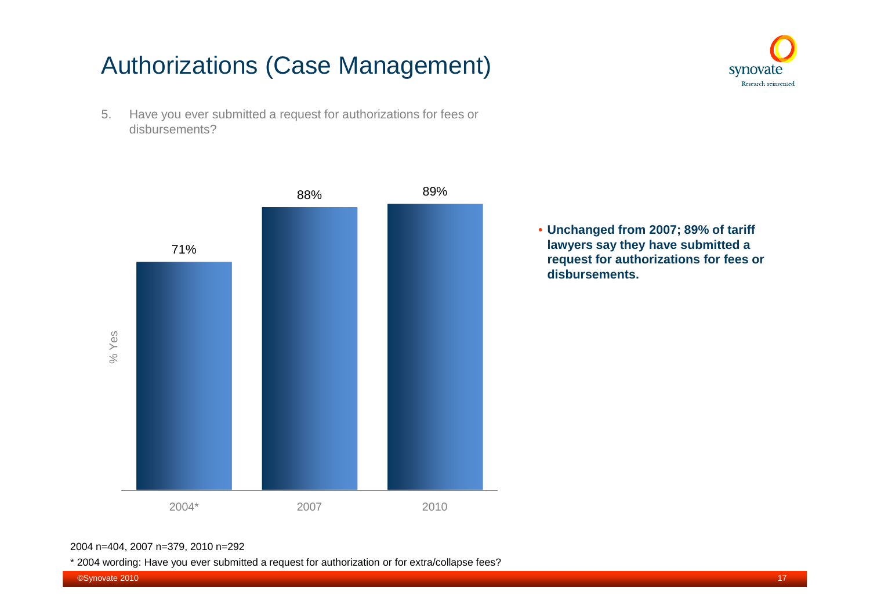## Authorizations (Case Management)





• **Unchanged from 2007; 89% of tariff lawyers say they have submitted a request for authorizations for fees or disbursements.**

synovate Research reinvented

#### 2004 n=404, 2007 n=379, 2010 n=292

\* 2004 wording: Have you ever submitted a request for authorization or for extra/collapse fees?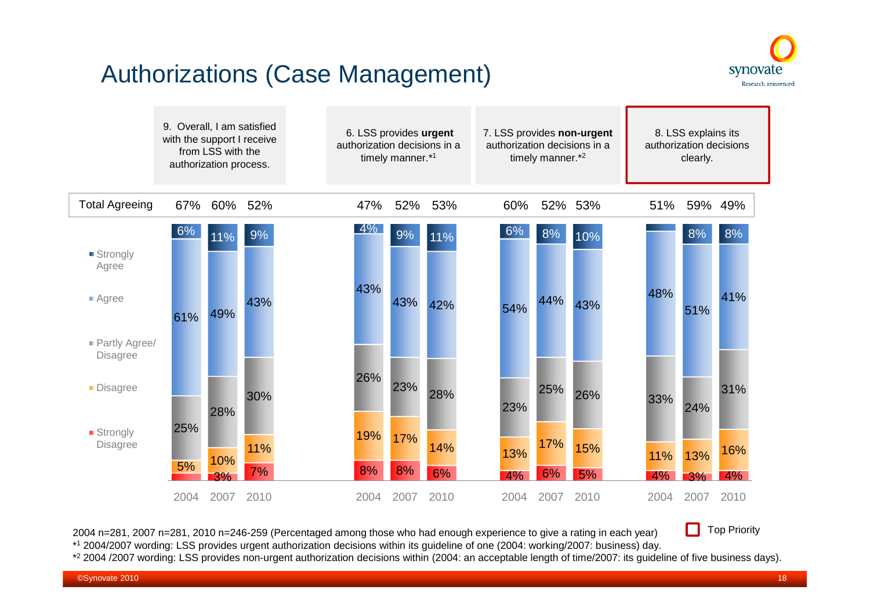### Authorizations (Case Management)





2004 n=281, 2007 n=281, 2010 n=246-259 (Percentaged among those who had enough experience to give a rating in each year) \* <sup>1</sup> 2004/2007 wording: LSS provides urgent authorization decisions within its guideline of one (2004: working/2007: business) day.  $\Box$ Top Priority

\* <sup>2</sup> 2004 /2007 wording: LSS provides non-urgent authorization decisions within (2004: an acceptable length of time/2007: its guideline of five business days).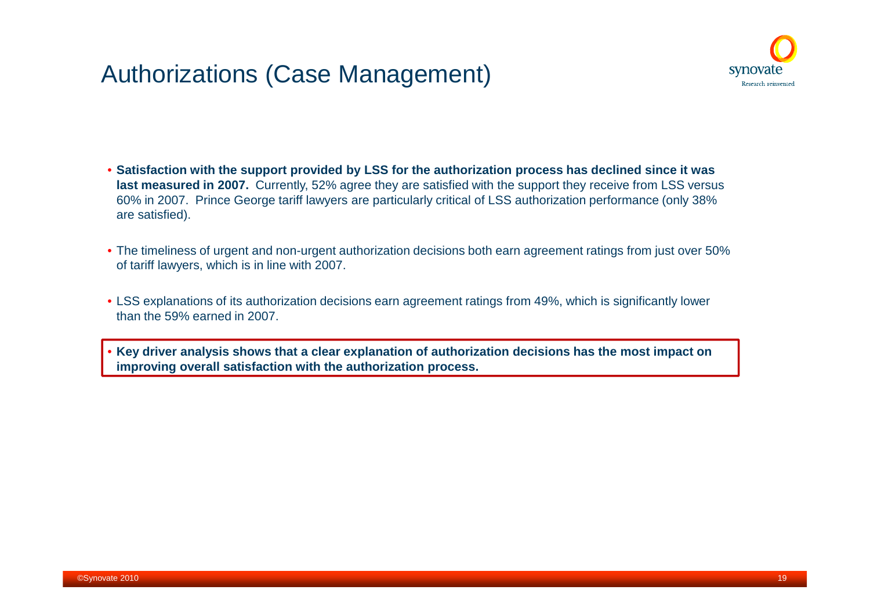### Authorizations (Case Management)



- **Satisfaction with the support provided by LSS for the authorization process has declined since it was last measured in 2007.** Currently, 52% agree they are satisfied with the support they receive from LSS versus 60% in 2007. Prince George tariff lawyers are particularly critical of LSS authorization performance (only 38% are satisfied).
- The timeliness of urgent and non-urgent authorization decisions both earn agreement ratings from just over 50% of tariff lawyers, which is in line with 2007.
- LSS explanations of its authorization decisions earn agreement ratings from 49%, which is significantly lower than the 59% earned in 2007.

• **Key driver analysis shows that a clear explanation of authorization decisions has the most impact on improving overall satisfaction with the authorization process.**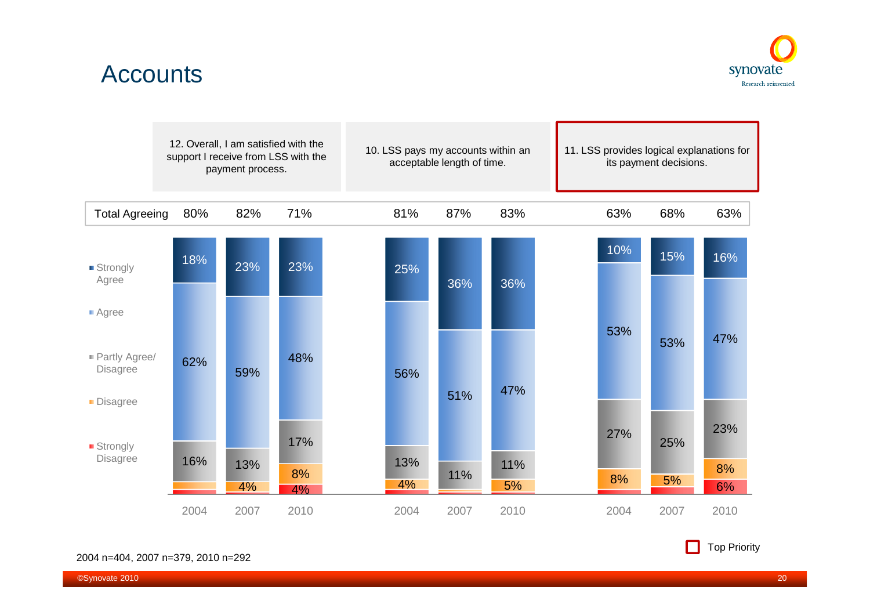### Accounts



|                                             | support I receive from LSS with the | 12. Overall, I am satisfied with the<br>payment process. |                 |           | acceptable length of time. |      | 10. LSS pays my accounts within an | 11. LSS provides logical explanations for | its payment decisions. |                 |
|---------------------------------------------|-------------------------------------|----------------------------------------------------------|-----------------|-----------|----------------------------|------|------------------------------------|-------------------------------------------|------------------------|-----------------|
| <b>Total Agreeing</b>                       | 80%                                 | 82%                                                      | 71%             | 81%       |                            | 87%  | 83%                                | 63%                                       | 68%                    | 63%             |
| ■ Strongly<br>Agree                         | 18%                                 | 23%                                                      | 23%             | 25%       |                            | 36%  | 36%                                | 10%                                       | 15%                    | 16%             |
| ■ Agree<br>Partly Agree/<br><b>Disagree</b> | 62%                                 | 59%                                                      | 48%             | 56%       |                            | 51%  | 47%                                | 53%                                       | 53%                    | 47%             |
| Disagree<br>■ Strongly<br><b>Disagree</b>   | 16%                                 | 13%<br>4%                                                | 17%<br>8%<br>4% | 13%<br>4% |                            | 11%  | 11%<br>5%                          | 27%<br>8%                                 | 25%<br>5%              | 23%<br>8%<br>6% |
|                                             | 2004                                | 2007                                                     | 2010            | 2004      |                            | 2007 | 2010                               | 2004                                      | 2007                   | 2010            |

2004 n=404, 2007 n=379, 2010 n=292

**Top Priority**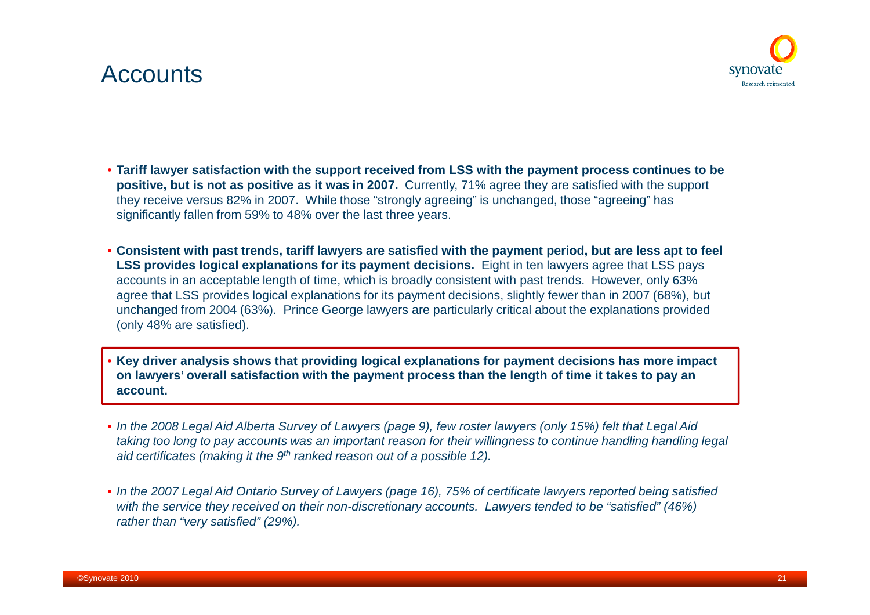### Accounts



- **Tariff lawyer satisfaction with the support received from LSS with the payment process continues to be positive, but is not as positive as it was in 2007.** Currently, 71% agree they are satisfied with the support they receive versus 82% in 2007. While those "strongly agreeing" is unchanged, those "agreeing" has significantly fallen from 59% to 48% over the last three years.
- **Consistent with past trends, tariff lawyers are satisfied with the payment period, but are less apt to feel LSS provides logical explanations for its payment decisions.** Eight in ten lawyers agree that LSS pays accounts in an acceptable length of time, which is broadly consistent with past trends. However, only 63% agree that LSS provides logical explanations for its payment decisions, slightly fewer than in 2007 (68%), but unchanged from 2004 (63%). Prince George lawyers are particularly critical about the explanations provided (only 48% are satisfied).
- **Key driver analysis shows that providing logical explanations for payment decisions has more impact on lawyers' overall satisfaction with the payment process than the length of time it takes to pay an account.**
- *In the 2008 Legal Aid Alberta Survey of Lawyers (page 9), few roster lawyers (only 15%) felt that Legal Aid taking too long to pay accounts was an important reason for their willingness to continue handling handling legal aid certificates (making it the 9th ranked reason out of a possible 12).*
- *In the 2007 Legal Aid Ontario Survey of Lawyers (page 16), 75% of certificate lawyers reported being satisfied with the service they received on their non-discretionary accounts. Lawyers tended to be "satisfied" (46%) rather than "very satisfied" (29%).*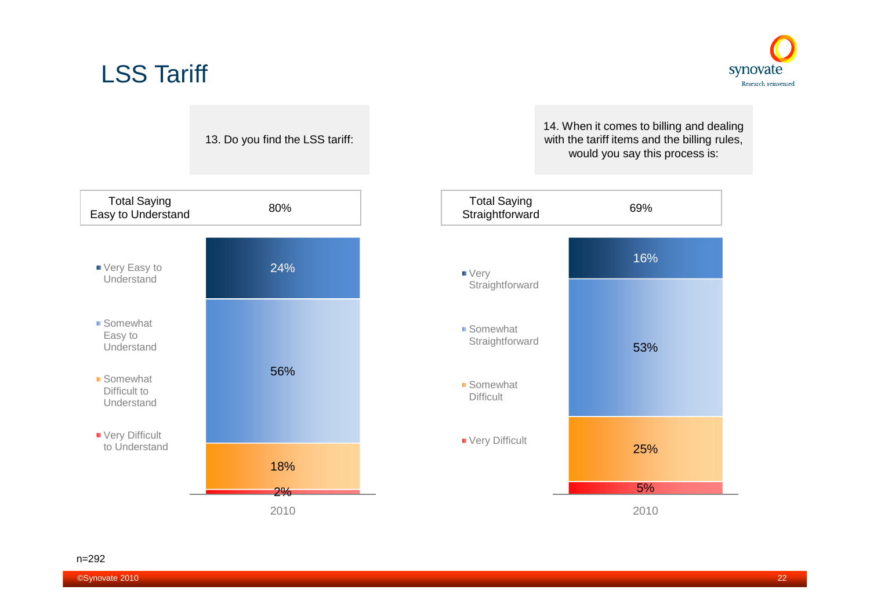



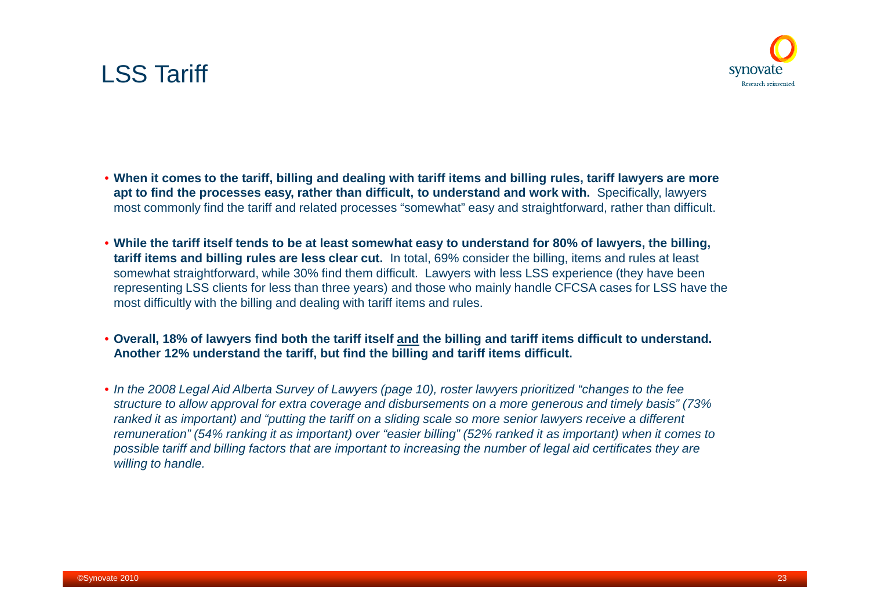### LSS Tariff

- **When it comes to the tariff, billing and dealing with tariff items and billing rules, tariff lawyers are more apt to find the processes easy, rather than difficult, to understand and work with.** Specifically, lawyers most commonly find the tariff and related processes "somewhat" easy and straightforward, rather than difficult.
- **While the tariff itself tends to be at least somewhat easy to understand for 80% of lawyers, the billing, tariff items and billing rules are less clear cut.** In total, 69% consider the billing, items and rules at least somewhat straightforward, while 30% find them difficult. Lawyers with less LSS experience (they have been representing LSS clients for less than three years) and those who mainly handle CFCSA cases for LSS have the most difficultly with the billing and dealing with tariff items and rules.
- **Overall, 18% of lawyers find both the tariff itself and the billing and tariff items difficult to understand. Another 12% understand the tariff, but find the billing and tariff items difficult.**
- *In the 2008 Legal Aid Alberta Survey of Lawyers (page 10), roster lawyers prioritized "changes to the fee structure to allow approval for extra coverage and disbursements on a more generous and timely basis" (73% ranked it as important) and "putting the tariff on a sliding scale so more senior lawyers receive a different remuneration" (54% ranking it as important) over "easier billing" (52% ranked it as important) when it comes to possible tariff and billing factors that are important to increasing the number of legal aid certificates they are willing to handle.*

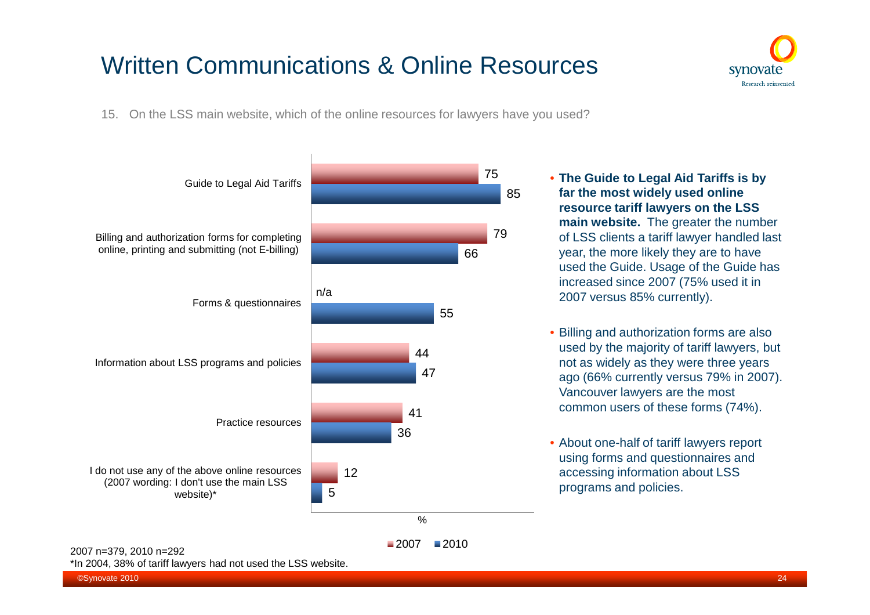

15. On the LSS main website, which of the online resources for lawyers have you used?



• **The Guide to Legal Aid Tariffs is by far the most widely used online resource tariff lawyers on the LSS main website.** The greater the number of LSS clients a tariff lawyer handled last year, the more likely they are to have used the Guide. Usage of the Guide has increased since 2007 (75% used it in 2007 versus 85% currently).

- Billing and authorization forms are also used by the majority of tariff lawyers, but not as widely as they were three years ago (66% currently versus 79% in 2007). Vancouver lawyers are the most common users of these forms (74%).
- About one-half of tariff lawyers report using forms and questionnaires and accessing information about LSS programs and policies.

\*In 2004, 38% of tariff lawyers had not used the LSS website.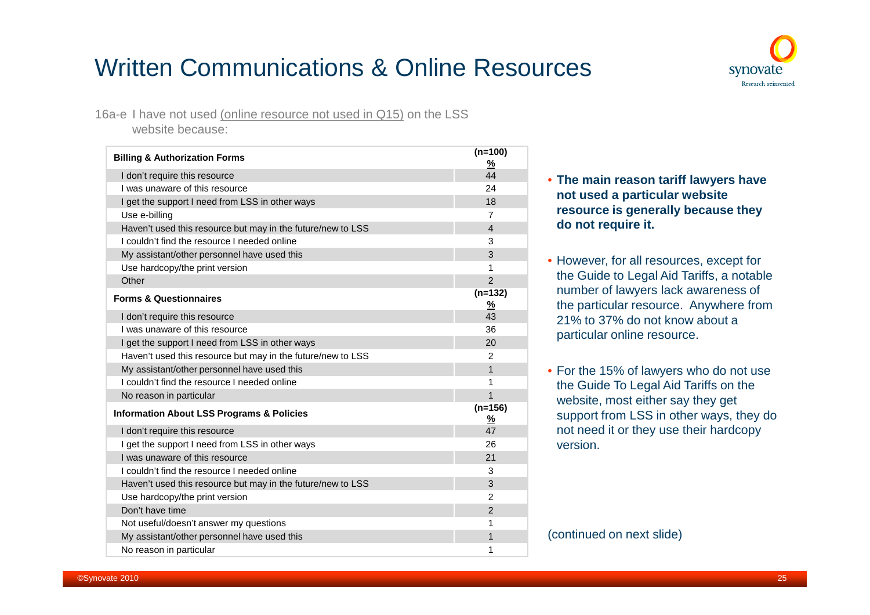

16a-e I have not used (online resource not used in Q15) on the LSS website because:

| <b>Billing &amp; Authorization Forms</b>                    | $(n=100)$<br>$\frac{9}{6}$ |
|-------------------------------------------------------------|----------------------------|
| I don't require this resource                               | 44                         |
| I was unaware of this resource                              | 24                         |
| I get the support I need from LSS in other ways             | 18                         |
| Use e-billing                                               | $\overline{7}$             |
| Haven't used this resource but may in the future/new to LSS | $\overline{4}$             |
| I couldn't find the resource I needed online                | 3                          |
| My assistant/other personnel have used this                 | 3                          |
| Use hardcopy/the print version                              | 1                          |
| Other                                                       | $\overline{2}$             |
| <b>Forms &amp; Questionnaires</b>                           | $(n=132)$<br><u>%</u>      |
| I don't require this resource                               | 43                         |
| I was unaware of this resource                              | 36                         |
| I get the support I need from LSS in other ways             | 20                         |
| Haven't used this resource but may in the future/new to LSS | $\overline{2}$             |
| My assistant/other personnel have used this                 | $\mathbf{1}$               |
| I couldn't find the resource I needed online                | 1                          |
| No reason in particular                                     | $\overline{1}$             |
| <b>Information About LSS Programs &amp; Policies</b>        | $(n=156)$<br><u>%</u>      |
| I don't require this resource                               | 47                         |
| I get the support I need from LSS in other ways             | 26                         |
| I was unaware of this resource                              | 21                         |
| I couldn't find the resource I needed online                | 3                          |
| Haven't used this resource but may in the future/new to LSS | 3                          |
| Use hardcopy/the print version                              | $\overline{2}$             |
| Don't have time                                             | $\overline{2}$             |
| Not useful/doesn't answer my questions                      | 1                          |
| My assistant/other personnel have used this                 | 1                          |
| No reason in particular                                     | 1                          |

#### • **The main reason tariff lawyers have not used a particular website resource is generally because they do not require it.**

- However, for all resources, except for the Guide to Legal Aid Tariffs, a notable number of lawyers lack awareness of the particular resource. Anywhere from 21% to 37% do not know about a particular online resource.
- For the 15% of lawyers who do not use the Guide To Legal Aid Tariffs on the website, most either say they get support from LSS in other ways, they do not need it or they use their hardcopy version.

(continued on next slide)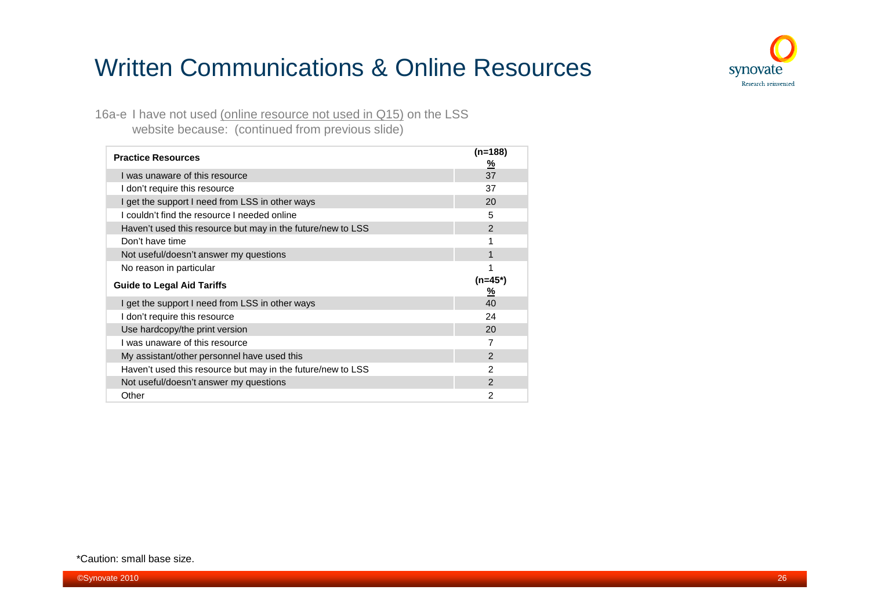

16a-e I have not used (online resource not used in Q15) on the LSS website because: (continued from previous slide)

| <b>Practice Resources</b>                                   | $(n=188)$<br><u>%</u> |
|-------------------------------------------------------------|-----------------------|
| I was unaware of this resource                              | 37                    |
| I don't require this resource                               | 37                    |
| I get the support I need from LSS in other ways             | 20                    |
| I couldn't find the resource I needed online                | 5                     |
| Haven't used this resource but may in the future/new to LSS | 2                     |
| Don't have time                                             | 1                     |
| Not useful/doesn't answer my questions                      | 1                     |
| No reason in particular                                     |                       |
|                                                             |                       |
| <b>Guide to Legal Aid Tariffs</b>                           | $(n=45*)$<br>%        |
| I get the support I need from LSS in other ways             | 40                    |
| I don't require this resource                               | 24                    |
| Use hardcopy/the print version                              | 20                    |
| I was unaware of this resource                              | 7                     |
| My assistant/other personnel have used this                 | $\mathfrak{p}$        |
| Haven't used this resource but may in the future/new to LSS | $\mathfrak{p}$        |
| Not useful/doesn't answer my questions                      | $\mathfrak{p}$        |

\*Caution: small base size.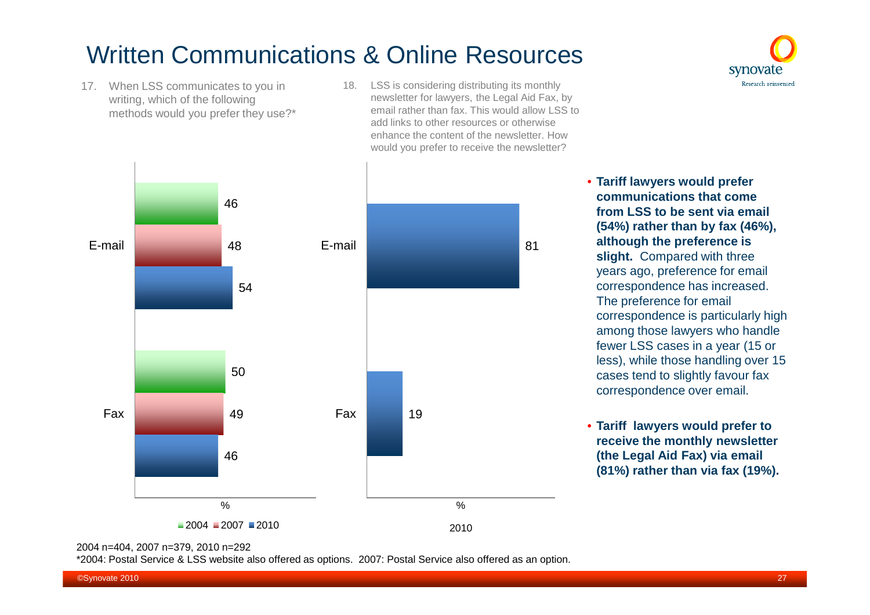- 17. When LSS communicates to you in writing, which of the following methods would you prefer they use?\*
- 18. LSS is considering distributing its monthly newsletter for lawyers, the Legal Aid Fax, by email rather than fax. This would allow LSS to add links to other resources or otherwise enhance the content of the newsletter. How would you prefer to receive the newsletter?



• **Tariff lawyers would prefer communications that come from LSS to be sent via email (54%) rather than by fax (46%), although the preference is slight.** Compared with three years ago, preference for email correspondence has increased. The preference for email correspondence is particularly high among those lawyers who handle fewer LSS cases in a year (15 or less), while those handling over 15 cases tend to slightly favour fax correspondence over email.

synovate Research reinvented

• **Tariff lawyers would prefer to receive the monthly newsletter (the Legal Aid Fax) via email (81%) rather than via fax (19%).**

2004 n=404, 2007 n=379, 2010 n=292

\*2004: Postal Service & LSS website also offered as options. 2007: Postal Service also offered as an option.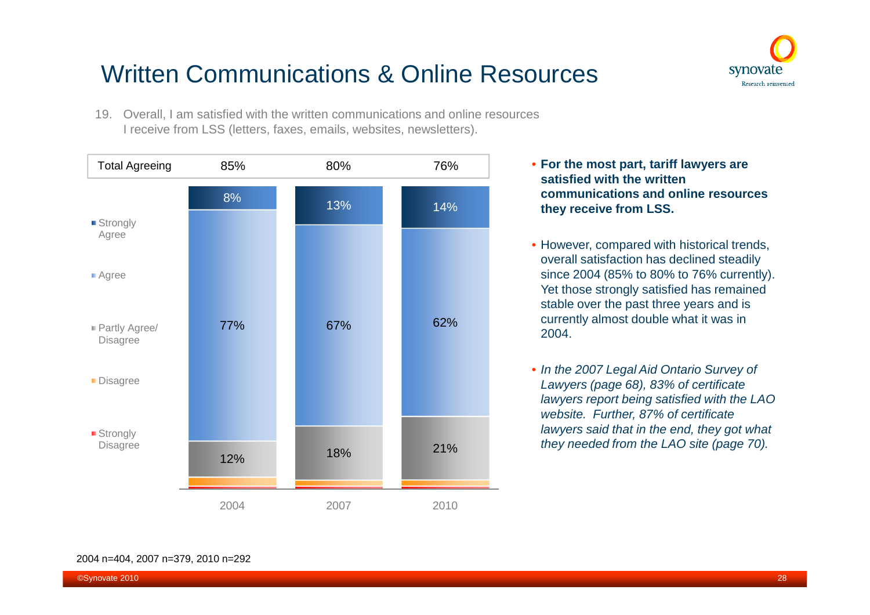

19. Overall, I am satisfied with the written communications and online resources I receive from LSS (letters, faxes, emails, websites, newsletters).



- **For the most part, tariff lawyers are satisfied with the written communications and online resources they receive from LSS.**
- However, compared with historical trends, overall satisfaction has declined steadily since 2004 (85% to 80% to 76% currently). Yet those strongly satisfied has remained stable over the past three years and is currently almost double what it was in 2004.
- *In the 2007 Legal Aid Ontario Survey of Lawyers (page 68), 83% of certificate lawyers report being satisfied with the LAO website. Further, 87% of certificate lawyers said that in the end, they got what they needed from the LAO site (page 70).*

#### 2004 n=404, 2007 n=379, 2010 n=292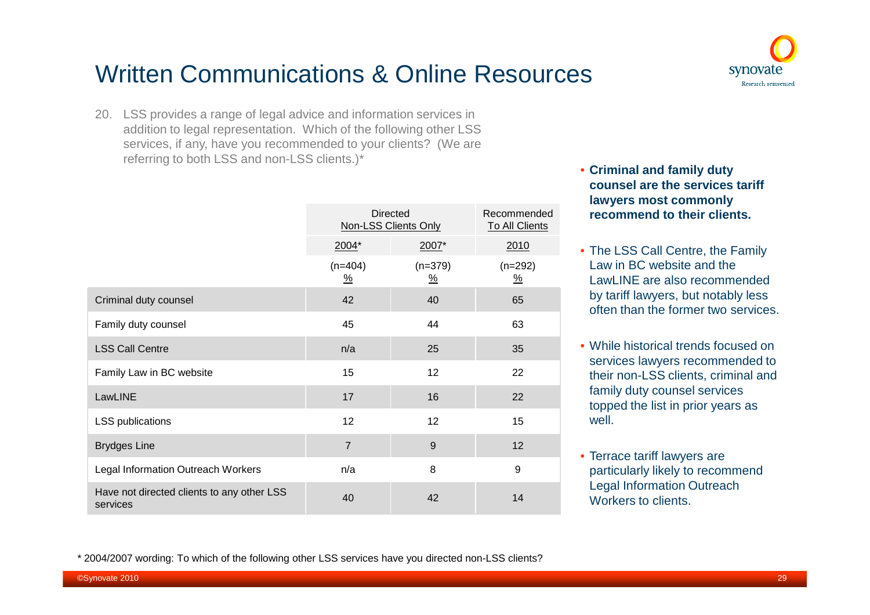### synovate Research reinvented

## Written Communications & Online Resources

20. LSS provides a range of legal advice and information services in addition to legal representation. Which of the following other LSS services, if any, have you recommended to your clients? (We are referring to both LSS and non-LSS clients.)\*

|                                                        | <b>Directed</b><br><b>Non-LSS Clients Only</b> | Recommended<br><b>To All Clients</b> |                                    |
|--------------------------------------------------------|------------------------------------------------|--------------------------------------|------------------------------------|
|                                                        | $2004*$                                        | $2007*$                              | 2010                               |
|                                                        | $(n=404)$<br>$\frac{\%}{\sqrt{2}}$             | $(n=379)$<br>$\frac{9}{6}$           | $(n=292)$<br>$\frac{\%}{\sqrt{2}}$ |
| Criminal duty counsel                                  | 42                                             | 40                                   | 65                                 |
| Family duty counsel                                    | 45                                             | 44                                   | 63                                 |
| <b>LSS Call Centre</b>                                 | n/a                                            | 25                                   | 35                                 |
| Family Law in BC website                               | 15                                             | 12                                   | 22                                 |
| LawLINE                                                | 17                                             | 16                                   | 22                                 |
| LSS publications                                       | 12                                             | 12                                   | 15                                 |
| <b>Brydges Line</b>                                    | $\overline{7}$                                 | 9                                    | 12                                 |
| Legal Information Outreach Workers                     | n/a                                            | 8                                    | 9                                  |
| Have not directed clients to any other LSS<br>services | 40                                             | 42                                   | 14                                 |

- **Criminal and family duty counsel are the services tariff lawyers most commonly recommend to their clients.**
- The LSS Call Centre, the Family Law in BC website and the LawLINE are also recommended by tariff lawyers, but notably less often than the former two services.
- While historical trends focused on services lawyers recommended to their non-LSS clients, criminal and family duty counsel services topped the list in prior years as well.
- Terrace tariff lawyers are particularly likely to recommend Legal Information Outreach Workers to clients.

\* 2004/2007 wording: To which of the following other LSS services have you directed non-LSS clients?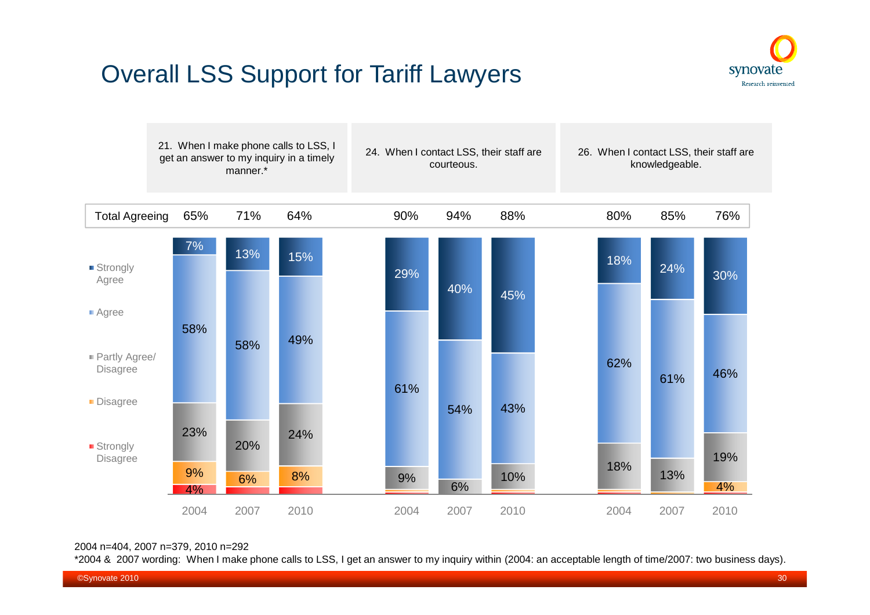



#### 2004 n=404, 2007 n=379, 2010 n=292

\*2004 & 2007 wording: When I make phone calls to LSS, I get an answer to my inquiry within (2004: an acceptable length of time/2007: two business days).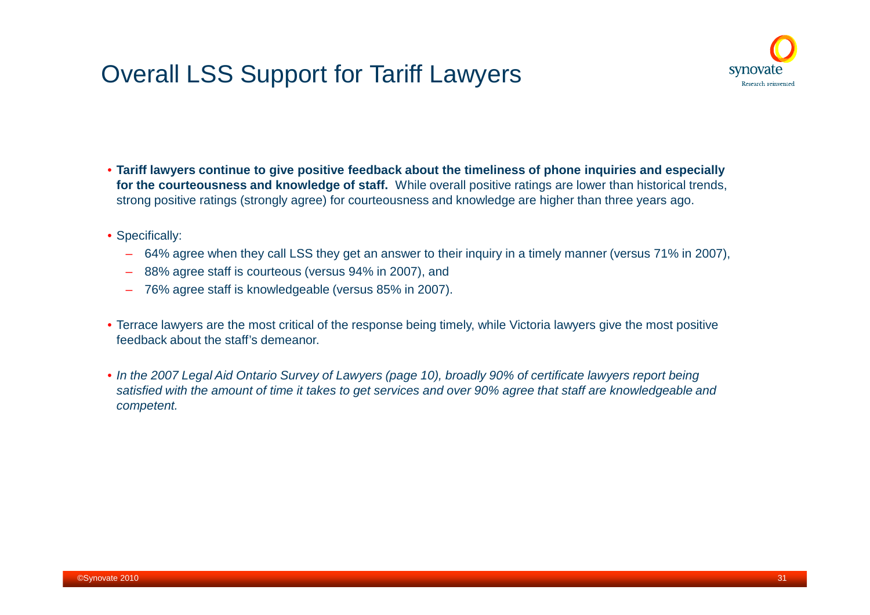

- **Tariff lawyers continue to give positive feedback about the timeliness of phone inquiries and especially for the courteousness and knowledge of staff.** While overall positive ratings are lower than historical trends, strong positive ratings (strongly agree) for courteousness and knowledge are higher than three years ago.
- Specifically:
	- 64% agree when they call LSS they get an answer to their inquiry in a timely manner (versus 71% in 2007),
	- 88% agree staff is courteous (versus 94% in 2007), and
	- 76% agree staff is knowledgeable (versus 85% in 2007).
- Terrace lawyers are the most critical of the response being timely, while Victoria lawyers give the most positive feedback about the staff's demeanor.
- *In the 2007 Legal Aid Ontario Survey of Lawyers (page 10), broadly 90% of certificate lawyers report being satisfied with the amount of time it takes to get services and over 90% agree that staff are knowledgeable and competent.*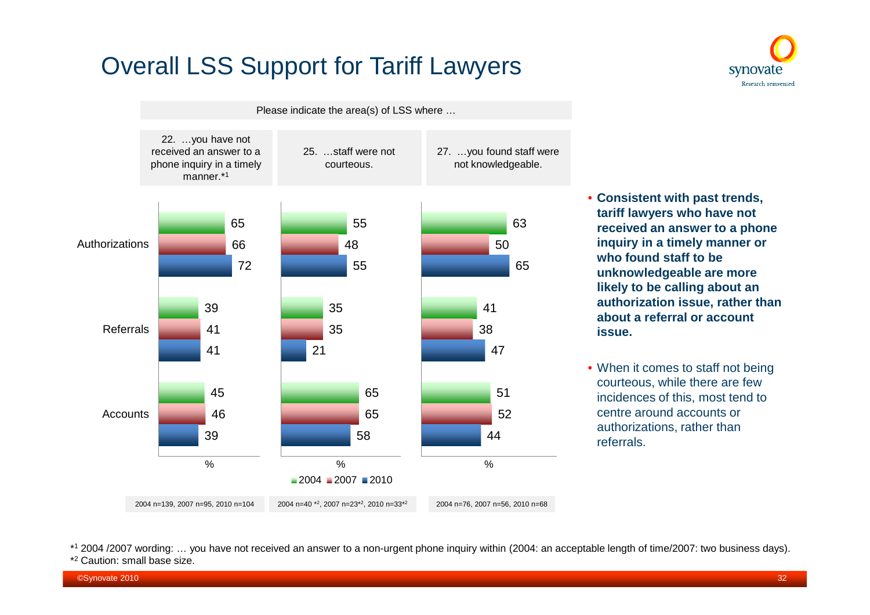

synovate Research reinvented

- **Consistent with past trends, tariff lawyers who have not received an answer to a phone inquiry in a timely manner or who found staff to be unknowledgeable are more likely to be calling about an authorization issue, rather than about a referral or account issue.**
- When it comes to staff not being courteous, while there are few incidences of this, most tend to centre around accounts or authorizations, rather than referrals.

\* <sup>1</sup> 2004 /2007 wording: … you have not received an answer to a non-urgent phone inquiry within (2004: an acceptable length of time/2007: two business days). \* <sup>2</sup> Caution: small base size.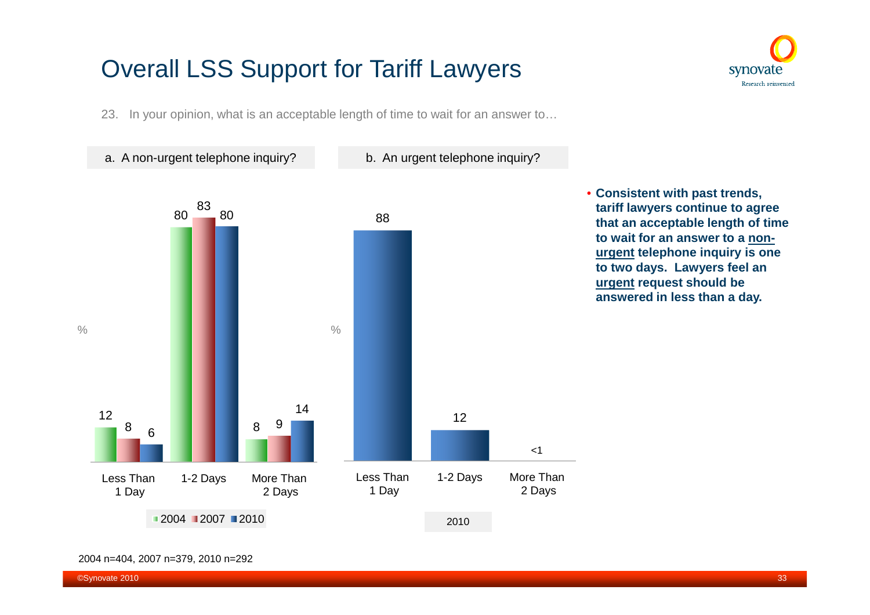23. In your opinion, what is an acceptable length of time to wait for an answer to…



2004 n=404, 2007 n=379, 2010 n=292

synovate Research reinvented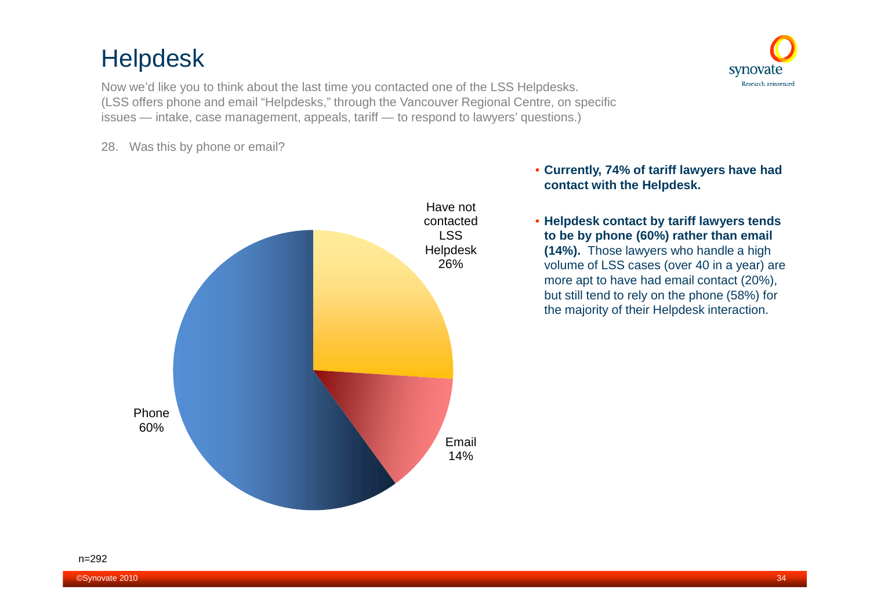## Helpdesk

Now we'd like you to think about the last time you contacted one of the LSS Helpdesks. (LSS offers phone and email "Helpdesks," through the Vancouver Regional Centre, on specific issues — intake, case management, appeals, tariff — to respond to lawyers' questions.)

28. Was this by phone or email?



#### • **Currently, 74% of tariff lawyers have had contact with the Helpdesk.**

synovate Research reinvented

• **Helpdesk contact by tariff lawyers tends to be by phone (60%) rather than email (14%).** Those lawyers who handle a high volume of LSS cases (over 40 in a year) are more apt to have had email contact (20%), but still tend to rely on the phone (58%) for the majority of their Helpdesk interaction.

#### n=292

©Synovate 2010 34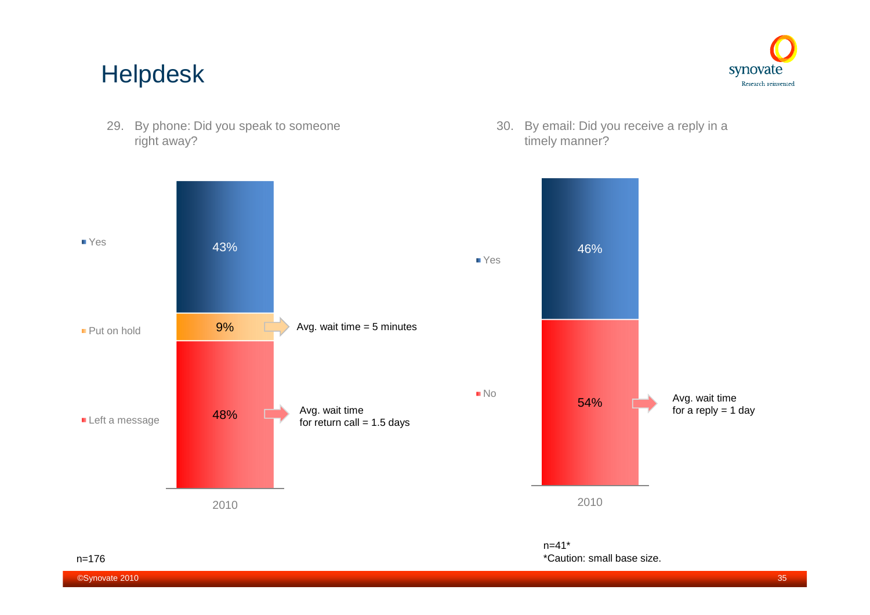### Helpdesk





30. By email: Did you receive a reply in a timely manner?

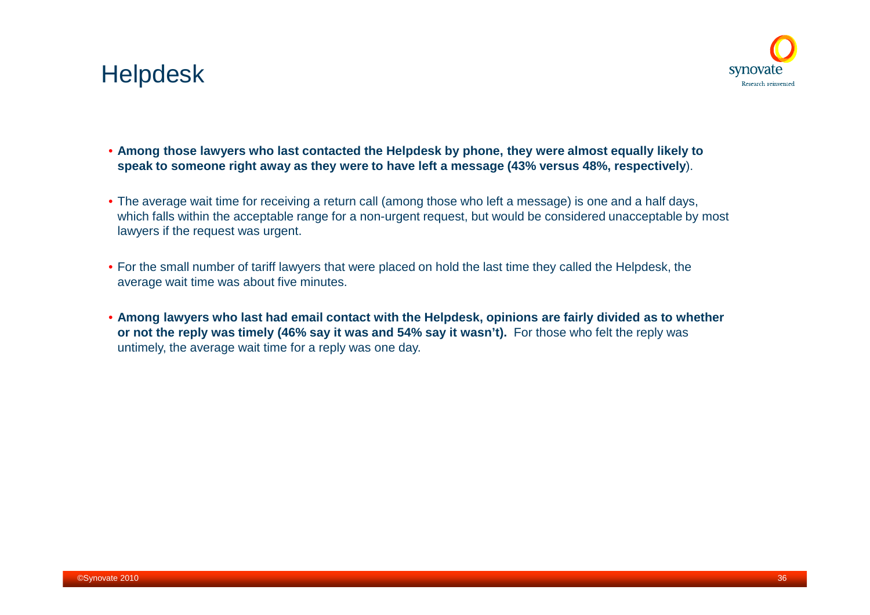



- **Among those lawyers who last contacted the Helpdesk by phone, they were almost equally likely to speak to someone right away as they were to have left a message (43% versus 48%, respectively**).
- The average wait time for receiving a return call (among those who left a message) is one and a half days, which falls within the acceptable range for a non-urgent request, but would be considered unacceptable by most lawyers if the request was urgent.
- For the small number of tariff lawyers that were placed on hold the last time they called the Helpdesk, the average wait time was about five minutes.
- **Among lawyers who last had email contact with the Helpdesk, opinions are fairly divided as to whether or not the reply was timely (46% say it was and 54% say it wasn't).** For those who felt the reply was untimely, the average wait time for a reply was one day.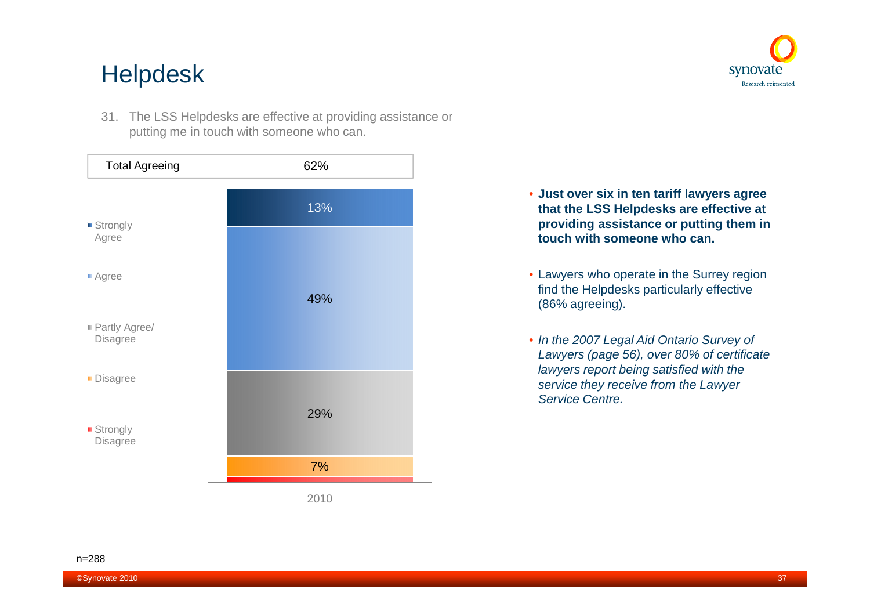### Helpdesk

31. The LSS Helpdesks are effective at providing assistance or putting me in touch with someone who can.



- **Just over six in ten tariff lawyers agree that the LSS Helpdesks are effective at providing assistance or putting them in touch with someone who can.**
- Lawyers who operate in the Surrey region find the Helpdesks particularly effective (86% agreeing).
- *In the 2007 Legal Aid Ontario Survey of Lawyers (page 56), over 80% of certificate lawyers report being satisfied with the service they receive from the Lawyer Service Centre.*

n=288

synovate Research reinvented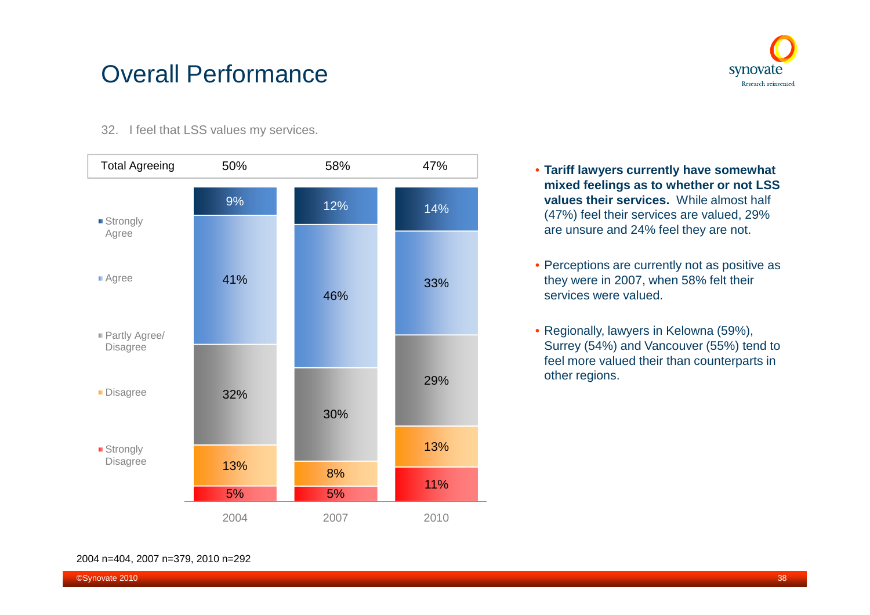### Overall Performance



32. I feel that LSS values my services.



- **Tariff lawyers currently have somewhat mixed feelings as to whether or not LSS values their services.** While almost half (47%) feel their services are valued, 29% are unsure and 24% feel they are not.
- Perceptions are currently not as positive as they were in 2007, when 58% felt their services were valued.
- Regionally, lawyers in Kelowna (59%), Surrey (54%) and Vancouver (55%) tend to feel more valued their than counterparts in other regions.

#### 2004 n=404, 2007 n=379, 2010 n=292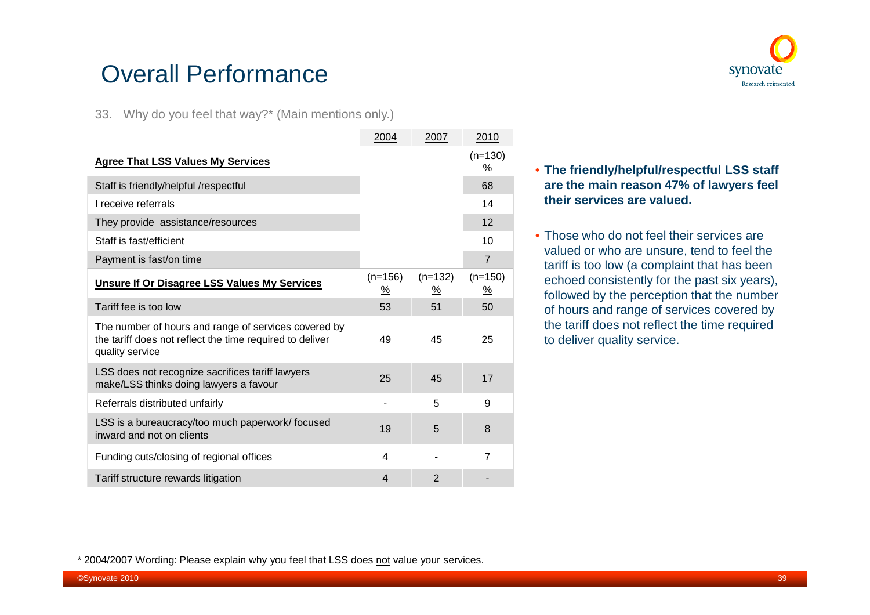### synovate Research reinvented

## Overall Performance

33. Why do you feel that way?\* (Main mentions only.)

|                                                                                                                                     | 2004           | 2007           | 2010                               |
|-------------------------------------------------------------------------------------------------------------------------------------|----------------|----------------|------------------------------------|
| <b>Agree That LSS Values My Services</b>                                                                                            |                |                | $(n=130)$<br>$\frac{\%}{\sqrt{2}}$ |
| Staff is friendly/helpful /respectful                                                                                               |                |                | 68                                 |
| I receive referrals                                                                                                                 |                |                | 14                                 |
| They provide assistance/resources                                                                                                   |                |                | 12                                 |
| Staff is fast/efficient                                                                                                             |                |                | 10                                 |
| Payment is fast/on time                                                                                                             |                |                | $\overline{7}$                     |
| Unsure If Or Disagree LSS Values My Services                                                                                        | $(n=156)$<br>% | $(n=132)$<br>% | $(n=150)$<br>$\frac{9}{6}$         |
| Tariff fee is too low                                                                                                               | 53             | 51             | 50                                 |
| The number of hours and range of services covered by<br>the tariff does not reflect the time required to deliver<br>quality service | 49             | 45             | 25                                 |
| LSS does not recognize sacrifices tariff lawyers<br>make/LSS thinks doing lawyers a favour                                          | 25             | 45             | 17                                 |
| Referrals distributed unfairly                                                                                                      |                | 5              | 9                                  |
| LSS is a bureaucracy/too much paperwork/focused<br>inward and not on clients                                                        | 19             | 5              | 8                                  |
| Funding cuts/closing of regional offices                                                                                            | 4              |                | $\overline{7}$                     |
| Tariff structure rewards litigation                                                                                                 | $\overline{4}$ | $\overline{2}$ |                                    |

#### • **The friendly/helpful/respectful LSS staff are the main reason 47% of lawyers feel their services are valued.**

• Those who do not feel their services are valued or who are unsure, tend to feel the tariff is too low (a complaint that has been echoed consistently for the past six years), followed by the perception that the number of hours and range of services covered by the tariff does not reflect the time required to deliver quality service.

<sup>\* 2004/2007</sup> Wording: Please explain why you feel that LSS does not value your services.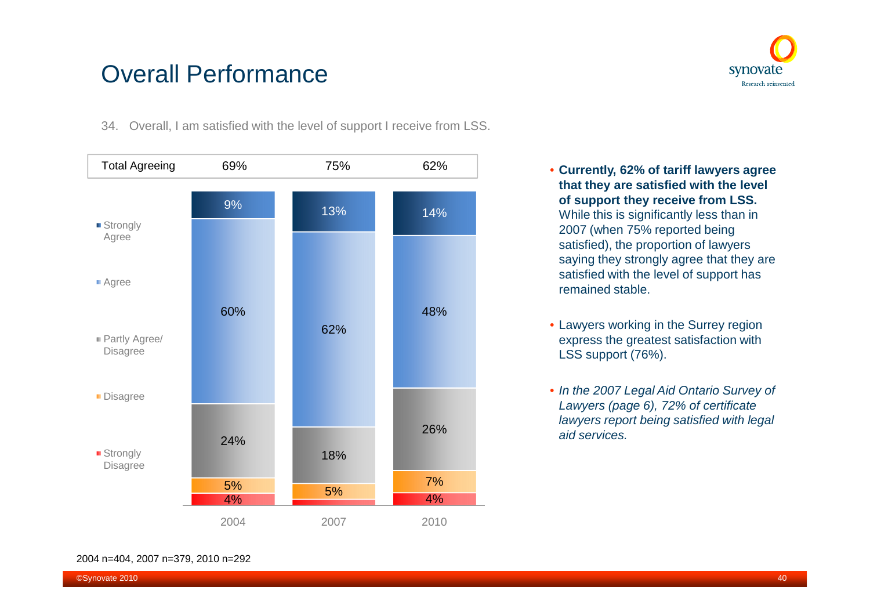### Overall Performance



34. Overall, I am satisfied with the level of support I receive from LSS.



- **Currently, 62% of tariff lawyers agree that they are satisfied with the level of support they receive from LSS.** While this is significantly less than in 2007 (when 75% reported being satisfied), the proportion of lawyers saying they strongly agree that they are satisfied with the level of support has remained stable.
- Lawyers working in the Surrey region express the greatest satisfaction with LSS support (76%).
- *In the 2007 Legal Aid Ontario Survey of Lawyers (page 6), 72% of certificate lawyers report being satisfied with legal aid services.*

#### 2004 n=404, 2007 n=379, 2010 n=292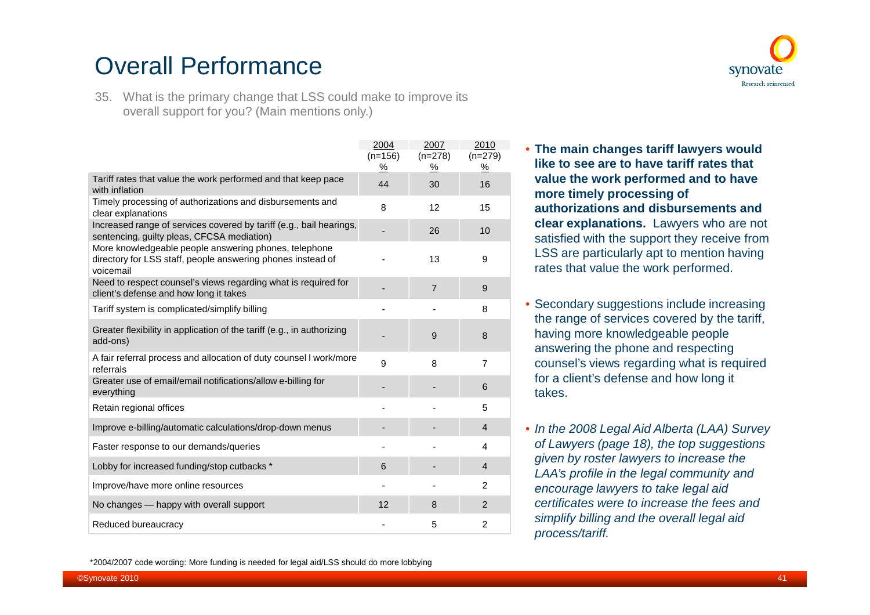## Overall Performance



35. What is the primary change that LSS could make to improve its overall support for you? (Main mentions only.)

|                                                                                                                                   | 2004          | 2007           | 2010           |
|-----------------------------------------------------------------------------------------------------------------------------------|---------------|----------------|----------------|
|                                                                                                                                   | $(n=156)$     | $(n=278)$      | $(n=279)$      |
|                                                                                                                                   | $\frac{9}{6}$ | %              | $\frac{9}{6}$  |
| Tariff rates that value the work performed and that keep pace<br>with inflation                                                   | 44            | 30             | 16             |
| Timely processing of authorizations and disbursements and<br>clear explanations                                                   | 8             | 12             | 15             |
| Increased range of services covered by tariff (e.g., bail hearings,<br>sentencing, guilty pleas, CFCSA mediation)                 |               | 26             | 10             |
| More knowledgeable people answering phones, telephone<br>directory for LSS staff, people answering phones instead of<br>voicemail |               | 13             | 9              |
| Need to respect counsel's views regarding what is required for<br>client's defense and how long it takes                          |               | $\overline{7}$ | 9              |
| Tariff system is complicated/simplify billing                                                                                     |               |                | 8              |
| Greater flexibility in application of the tariff (e.g., in authorizing<br>add-ons)                                                |               | 9              | 8              |
| A fair referral process and allocation of duty counsel I work/more<br>referrals                                                   | 9             | 8              | $\overline{7}$ |
| Greater use of email/email notifications/allow e-billing for<br>everything                                                        |               |                | 6              |
| Retain regional offices                                                                                                           |               |                | 5              |
| Improve e-billing/automatic calculations/drop-down menus                                                                          |               |                | $\overline{4}$ |
| Faster response to our demands/queries                                                                                            |               |                | 4              |
| Lobby for increased funding/stop cutbacks *                                                                                       | 6             |                | $\overline{4}$ |
| Improve/have more online resources                                                                                                |               |                | 2              |
| No changes - happy with overall support                                                                                           | 12            | 8              | $\overline{2}$ |
| Reduced bureaucracy                                                                                                               |               | 5              | $\overline{2}$ |

• **The main changes tariff lawyers would like to see are to have tariff rates that value the work performed and to have more timely processing of authorizations and disbursements and clear explanations.** Lawyers who are not satisfied with the support they receive from LSS are particularly apt to mention having rates that value the work performed.

- Secondary suggestions include increasing the range of services covered by the tariff, having more knowledgeable people answering the phone and respecting counsel's views regarding what is required for a client's defense and how long it takes.
- *In the 2008 Legal Aid Alberta (LAA) Survey of Lawyers (page 18), the top suggestions given by roster lawyers to increase the LAA's profile in the legal community and encourage lawyers to take legal aid certificates were to increase the fees and simplify billing and the overall legal aid process/tariff.*

\*2004/2007 code wording: More funding is needed for legal aid/LSS should do more lobbying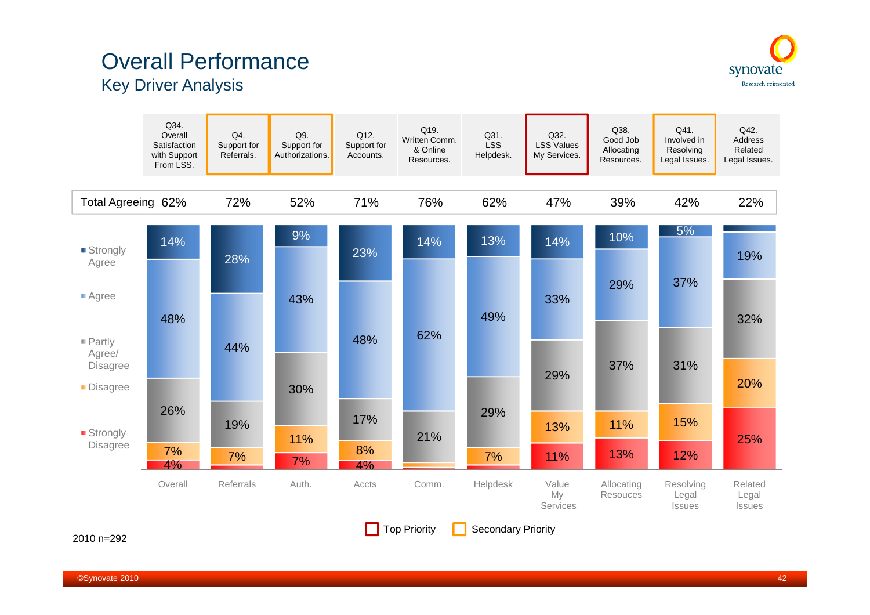### Overall Performance Key Driver Analysis





#### 2010 n=292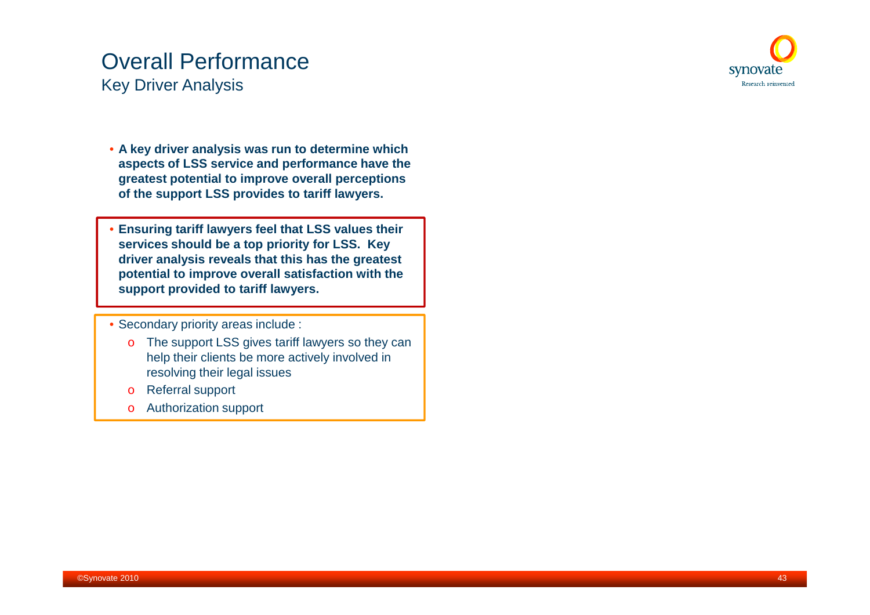#### Overall Performance Key Driver Analysis



- **A key driver analysis was run to determine which aspects of LSS service and performance have the greatest potential to improve overall perceptions of the support LSS provides to tariff lawyers.**
- **Ensuring tariff lawyers feel that LSS values their services should be a top priority for LSS. Key driver analysis reveals that this has the greatest potential to improve overall satisfaction with the support provided to tariff lawyers.**
- Secondary priority areas include :
	- o The support LSS gives tariff lawyers so they can help their clients be more actively involved in resolving their legal issues
	- o Referral support
	- o Authorization support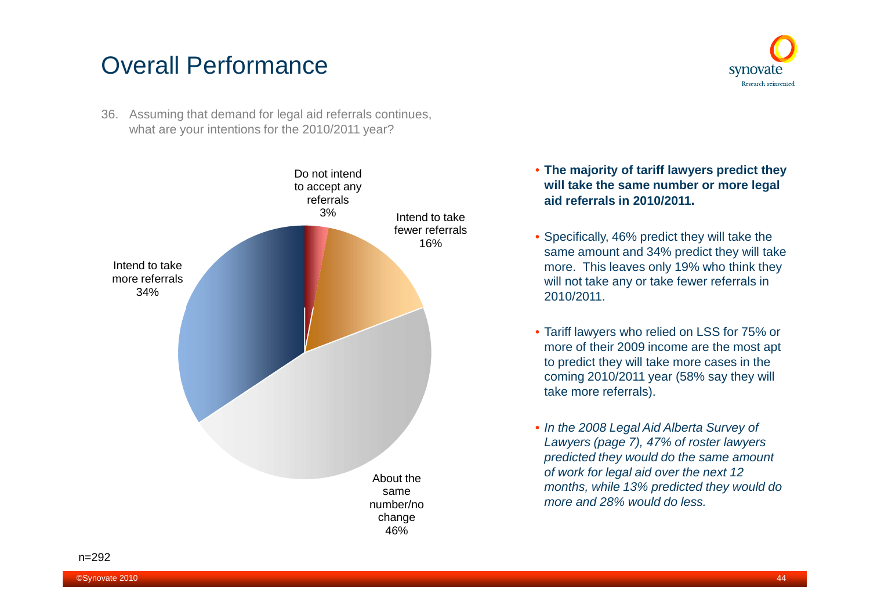### Overall Performance

36. Assuming that demand for legal aid referrals continues, what are your intentions for the 2010/2011 year?



• **The majority of tariff lawyers predict they will take the same number or more legal aid referrals in 2010/2011.**

synovate Research reinvented

- Specifically, 46% predict they will take the same amount and 34% predict they will take more. This leaves only 19% who think they will not take any or take fewer referrals in 2010/2011.
- Tariff lawyers who relied on LSS for 75% or more of their 2009 income are the most apt to predict they will take more cases in the coming 2010/2011 year (58% say they will take more referrals).
- *In the 2008 Legal Aid Alberta Survey of Lawyers (page 7), 47% of roster lawyers predicted they would do the same amount of work for legal aid over the next 12 months, while 13% predicted they would do more and 28% would do less.*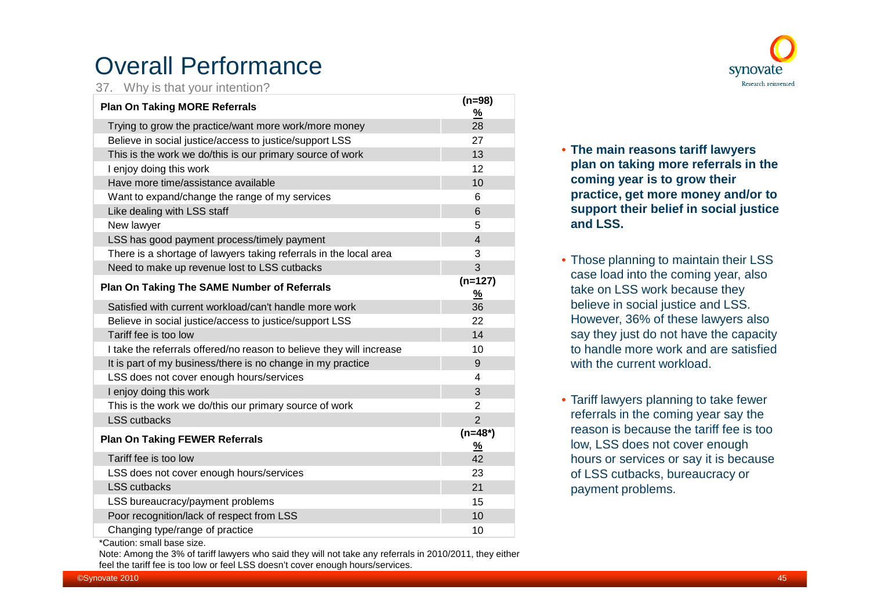### Overall Performance

37. Why is that your intention?

| <b>Plan On Taking MORE Referrals</b>                                 | $(n=98)$<br>$\frac{9}{6}$  |
|----------------------------------------------------------------------|----------------------------|
| Trying to grow the practice/want more work/more money                | 28                         |
| Believe in social justice/access to justice/support LSS              | 27                         |
| This is the work we do/this is our primary source of work            | 13                         |
| I enjoy doing this work                                              | 12                         |
| Have more time/assistance available                                  | 10                         |
| Want to expand/change the range of my services                       | 6                          |
| Like dealing with LSS staff                                          | 6                          |
| New lawyer                                                           | 5                          |
| LSS has good payment process/timely payment                          | $\overline{4}$             |
| There is a shortage of lawyers taking referrals in the local area    | 3                          |
| Need to make up revenue lost to LSS cutbacks                         | 3                          |
| <b>Plan On Taking The SAME Number of Referrals</b>                   | $(n=127)$<br>$\frac{9}{6}$ |
| Satisfied with current workload/can't handle more work               | 36                         |
| Believe in social justice/access to justice/support LSS              | 22                         |
| Tariff fee is too low                                                | 14                         |
| I take the referrals offered/no reason to believe they will increase | 10                         |
| It is part of my business/there is no change in my practice          | 9                          |
| LSS does not cover enough hours/services                             | 4                          |
| I enjoy doing this work                                              | 3                          |
| This is the work we do/this our primary source of work               | $\overline{2}$             |
| <b>LSS</b> cutbacks                                                  | $\overline{2}$             |
| <b>Plan On Taking FEWER Referrals</b>                                | $(n=48*)$<br><u>%</u>      |
| Tariff fee is too low                                                | 42                         |
| LSS does not cover enough hours/services                             | 23                         |
| <b>LSS</b> cutbacks                                                  | 21                         |
| LSS bureaucracy/payment problems                                     | 15                         |
| Poor recognition/lack of respect from LSS                            | 10                         |
| Changing type/range of practice                                      | 10                         |



• **The main reasons tariff lawyers plan on taking more referrals in the coming year is to grow their practice, get more money and/or to support their belief in social justice and LSS.**

- Those planning to maintain their LSS case load into the coming year, also take on LSS work because they believe in social justice and LSS. However, 36% of these lawyers also say they just do not have the capacity to handle more work and are satisfied with the current workload.
- Tariff lawyers planning to take fewer referrals in the coming year say the reason is because the tariff fee is too low, LSS does not cover enough hours or services or say it is because of LSS cutbacks, bureaucracy or payment problems.

\*Caution: small base size.

Note: Among the 3% of tariff lawyers who said they will not take any referrals in 2010/2011, they either feel the tariff fee is too low or feel LSS doesn't cover enough hours/services.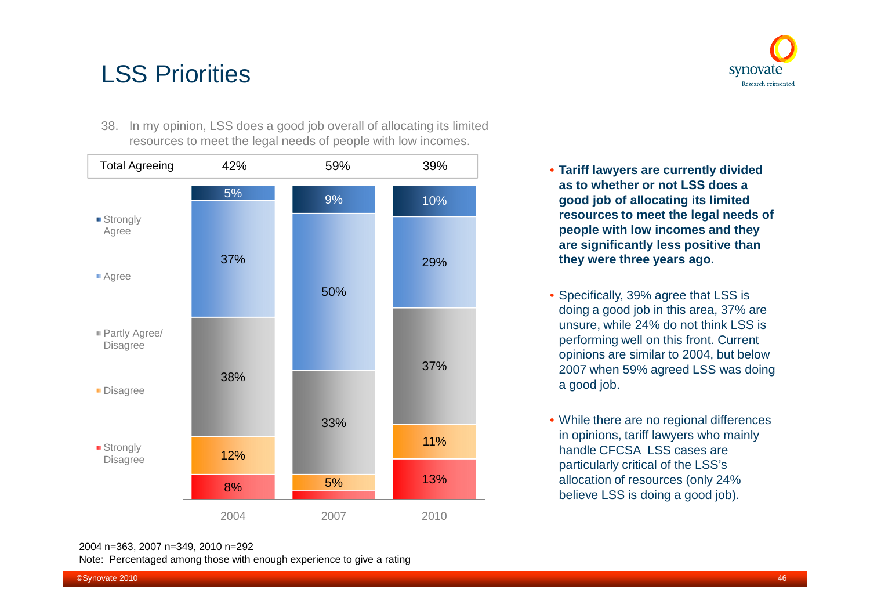38. In my opinion, LSS does a good job overall of allocating its limited resources to meet the legal needs of people with low incomes.



synovate Research reinvented

- **Tariff lawyers are currently divided as to whether or not LSS does a good job of allocating its limited resources to meet the legal needs of people with low incomes and they are significantly less positive than they were three years ago.**
- Specifically, 39% agree that LSS is doing a good job in this area, 37% are unsure, while 24% do not think LSS is performing well on this front. Current opinions are similar to 2004, but below 2007 when 59% agreed LSS was doing a good job.
- While there are no regional differences in opinions, tariff lawyers who mainly handle CFCSA LSS cases are particularly critical of the LSS's allocation of resources (only 24% believe LSS is doing a good job).

Note: Percentaged among those with enough experience to give a rating

<sup>2004</sup> n=363, 2007 n=349, 2010 n=292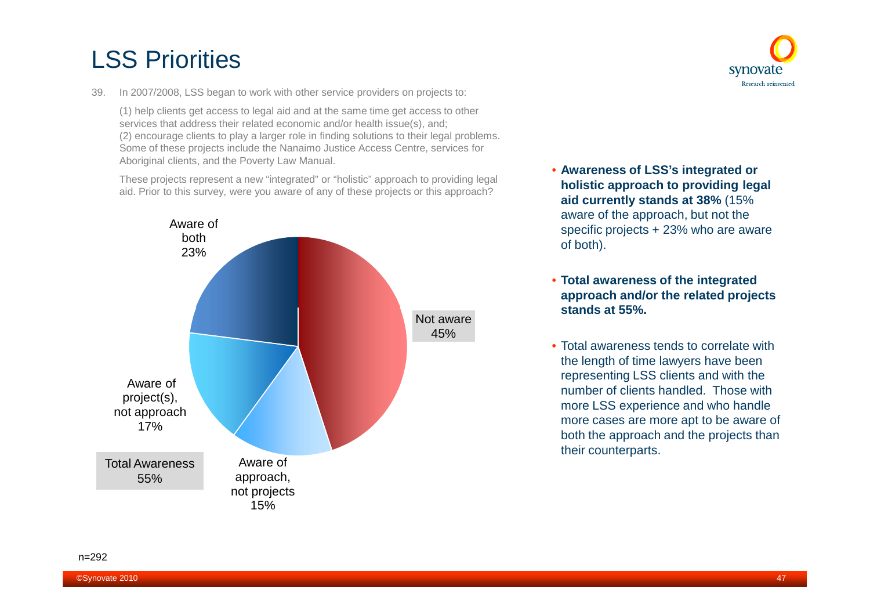39. In 2007/2008, LSS began to work with other service providers on projects to:

(1) help clients get access to legal aid and at the same time get access to other services that address their related economic and/or health issue(s), and; (2) encourage clients to play a larger role in finding solutions to their legal problems. Some of these projects include the Nanaimo Justice Access Centre, services for Aboriginal clients, and the Poverty Law Manual.

These projects represent a new "integrated" or "holistic" approach to providing legal aid. Prior to this survey, were you aware of any of these projects or this approach?





- **Awareness of LSS's integrated or holistic approach to providing legal aid currently stands at 38%** (15% aware of the approach, but not the specific projects + 23% who are aware of both).
- **Total awareness of the integrated approach and/or the related projects stands at 55%.**
- Total awareness tends to correlate with the length of time lawyers have been representing LSS clients and with the number of clients handled. Those with more LSS experience and who handle more cases are more apt to be aware of both the approach and the projects than their counterparts.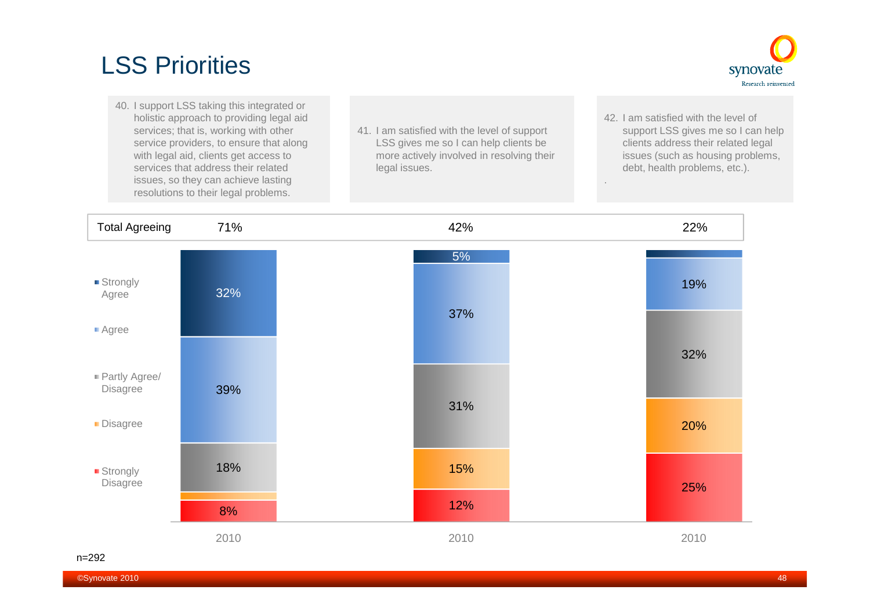

- 40. I support LSS taking this integrated or holistic approach to providing legal aid services; that is, working with other service providers, to ensure that along with legal aid, clients get access to services that address their related issues, so they can achieve lasting resolutions to their legal problems.
- 41. I am satisfied with the level of support LSS gives me so I can help clients be more actively involved in resolving their legal issues.
- 42. I am satisfied with the level of support LSS gives me so I can help clients address their related legal issues (such as housing problems, debt, health problems, etc.).

.

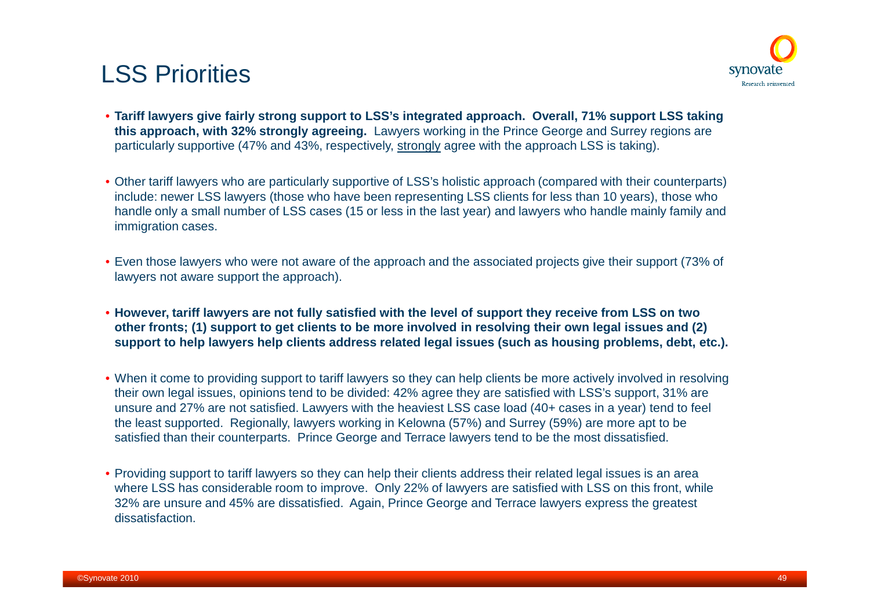

- **Tariff lawyers give fairly strong support to LSS's integrated approach. Overall, 71% support LSS taking this approach, with 32% strongly agreeing.** Lawyers working in the Prince George and Surrey regions are particularly supportive (47% and 43%, respectively, strongly agree with the approach LSS is taking).
- Other tariff lawyers who are particularly supportive of LSS's holistic approach (compared with their counterparts) include: newer LSS lawyers (those who have been representing LSS clients for less than 10 years), those who handle only a small number of LSS cases (15 or less in the last year) and lawyers who handle mainly family and immigration cases.
- Even those lawyers who were not aware of the approach and the associated projects give their support (73% of lawyers not aware support the approach).
- **However, tariff lawyers are not fully satisfied with the level of support they receive from LSS on two other fronts; (1) support to get clients to be more involved in resolving their own legal issues and (2) support to help lawyers help clients address related legal issues (such as housing problems, debt, etc.).**
- When it come to providing support to tariff lawyers so they can help clients be more actively involved in resolving their own legal issues, opinions tend to be divided: 42% agree they are satisfied with LSS's support, 31% are unsure and 27% are not satisfied. Lawyers with the heaviest LSS case load (40+ cases in a year) tend to feel the least supported. Regionally, lawyers working in Kelowna (57%) and Surrey (59%) are more apt to be satisfied than their counterparts. Prince George and Terrace lawyers tend to be the most dissatisfied.
- Providing support to tariff lawyers so they can help their clients address their related legal issues is an area where LSS has considerable room to improve. Only 22% of lawyers are satisfied with LSS on this front, while 32% are unsure and 45% are dissatisfied. Again, Prince George and Terrace lawyers express the greatest dissatisfaction.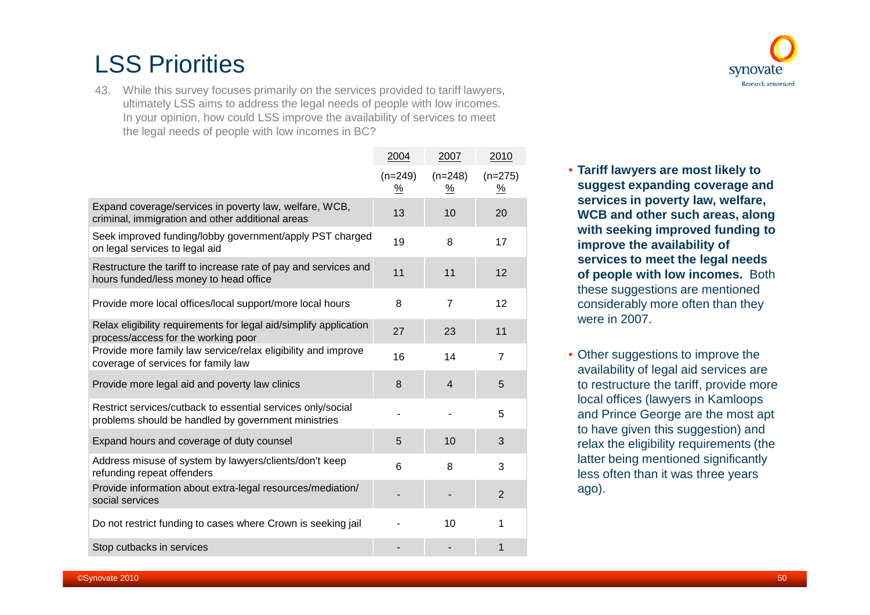43. While this survey focuses primarily on the services provided to tariff lawyers, ultimately LSS aims to address the legal needs of people with low incomes. In your opinion, how could LSS improve the availability of services to meet the legal needs of people with low incomes in BC?

|                                                                                                                    | 2004                       | 2007                               | 2010           |
|--------------------------------------------------------------------------------------------------------------------|----------------------------|------------------------------------|----------------|
|                                                                                                                    | $(n=249)$<br>$\frac{9}{6}$ | $(n=248)$<br>$\frac{\%}{\sqrt{2}}$ | $(n=275)$<br>% |
| Expand coverage/services in poverty law, welfare, WCB,<br>criminal, immigration and other additional areas         | 13                         | 10                                 | 20             |
| Seek improved funding/lobby government/apply PST charged<br>on legal services to legal aid                         | 19                         | 8                                  | 17             |
| Restructure the tariff to increase rate of pay and services and<br>hours funded/less money to head office          | 11                         | 11                                 | 12             |
| Provide more local offices/local support/more local hours                                                          | 8                          | $\overline{7}$                     | 12             |
| Relax eligibility requirements for legal aid/simplify application<br>process/access for the working poor           | 27                         | 23                                 | 11             |
| Provide more family law service/relax eligibility and improve<br>coverage of services for family law               | 16                         | 14                                 | $\overline{7}$ |
| Provide more legal aid and poverty law clinics                                                                     | 8                          | $\overline{4}$                     | 5              |
| Restrict services/cutback to essential services only/social<br>problems should be handled by government ministries |                            |                                    | 5              |
| Expand hours and coverage of duty counsel                                                                          | 5                          | 10                                 | 3              |
| Address misuse of system by lawyers/clients/don't keep<br>refunding repeat offenders                               | 6                          | 8                                  | 3              |
| Provide information about extra-legal resources/mediation/<br>social services                                      |                            |                                    | $\overline{2}$ |
| Do not restrict funding to cases where Crown is seeking jail                                                       |                            | 10                                 | 1              |
| Stop cutbacks in services                                                                                          |                            |                                    | 1              |



synovate Research reinvented

• Other suggestions to improve the availability of legal aid services are to restructure the tariff, provide more local offices (lawyers in Kamloops and Prince George are the most apt to have given this suggestion) and relax the eligibility requirements (the latter being mentioned significantly less often than it was three years ago).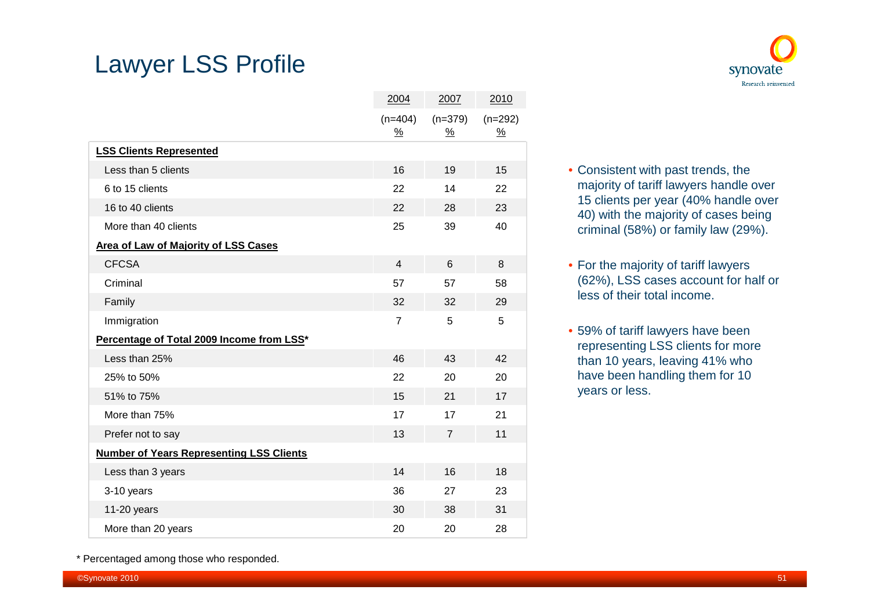### Lawyer LSS Profile





- Consistent with past trends, the majority of tariff lawyers handle over 15 clients per year (40% handle over 40) with the majority of cases being criminal (58%) or family law (29%).
- For the majority of tariff lawyers (62%), LSS cases account for half or less of their total income.
- 59% of tariff lawyers have been representing LSS clients for more than 10 years, leaving 41% who have been handling them for 10 years or less.

\* Percentaged among those who responded.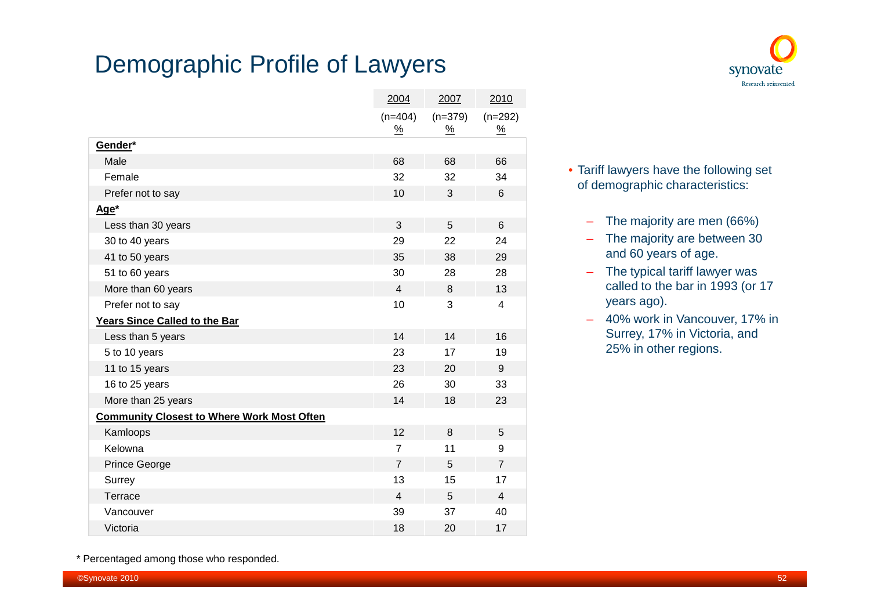### Demographic Profile of Lawyers

|                                                   | 2004                       | 2007                  | 2010                       |
|---------------------------------------------------|----------------------------|-----------------------|----------------------------|
|                                                   | $(n=404)$<br>$\frac{9}{6}$ | $(n=379)$<br><u>%</u> | $(n=292)$<br>$\frac{9}{6}$ |
| Gender*                                           |                            |                       |                            |
| Male                                              | 68                         | 68                    | 66                         |
| Female                                            | 32                         | 32                    | 34                         |
| Prefer not to say                                 | 10                         | 3                     | 6                          |
| Age*                                              |                            |                       |                            |
| Less than 30 years                                | 3                          | 5                     | 6                          |
| 30 to 40 years                                    | 29                         | 22                    | 24                         |
| 41 to 50 years                                    | 35                         | 38                    | 29                         |
| 51 to 60 years                                    | 30                         | 28                    | 28                         |
| More than 60 years                                |                            | 8                     | 13                         |
| Prefer not to say                                 |                            | 3                     | 4                          |
| <b>Years Since Called to the Bar</b>              |                            |                       |                            |
| Less than 5 years                                 | 14                         | 14                    | 16                         |
| 5 to 10 years                                     | 23                         | 17                    | 19                         |
| 11 to 15 years                                    | 23                         | 20                    | 9                          |
| 16 to 25 years                                    | 26                         | 30                    | 33                         |
| More than 25 years                                | 14                         | 18                    | 23                         |
| <b>Community Closest to Where Work Most Often</b> |                            |                       |                            |
| Kamloops                                          | 12                         | 8                     | 5                          |
| Kelowna                                           | $\overline{7}$             | 11                    | 9                          |
| <b>Prince George</b>                              | $\overline{7}$             | 5                     | $\overline{7}$             |
| Surrey                                            | 13                         | 15                    | 17                         |
| Terrace                                           | $\overline{4}$             | 5                     | $\overline{4}$             |
| Vancouver                                         | 39                         | 37                    | 40                         |
| Victoria                                          | 18                         | 20                    | 17                         |



- Tariff lawyers have the following set of demographic characteristics:
	- The majority are men (66%)
	- The majority are between 30 and 60 years of age.
	- The typical tariff lawyer was called to the bar in 1993 (or 17 years ago).
	- 40% work in Vancouver, 17% in Surrey, 17% in Victoria, and 25% in other regions.

\* Percentaged among those who responded.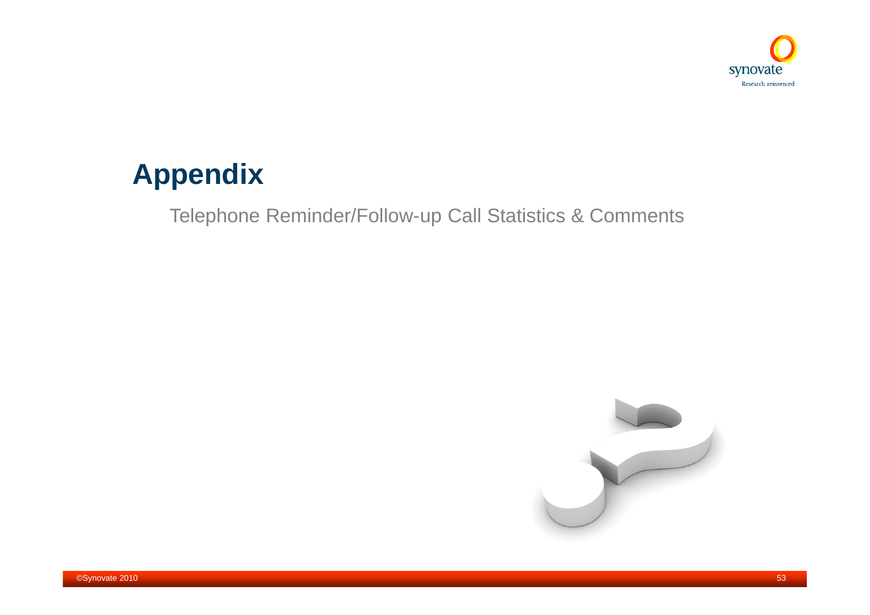

# **Appendix**

Telephone Reminder/Follow-up Call Statistics & Comments

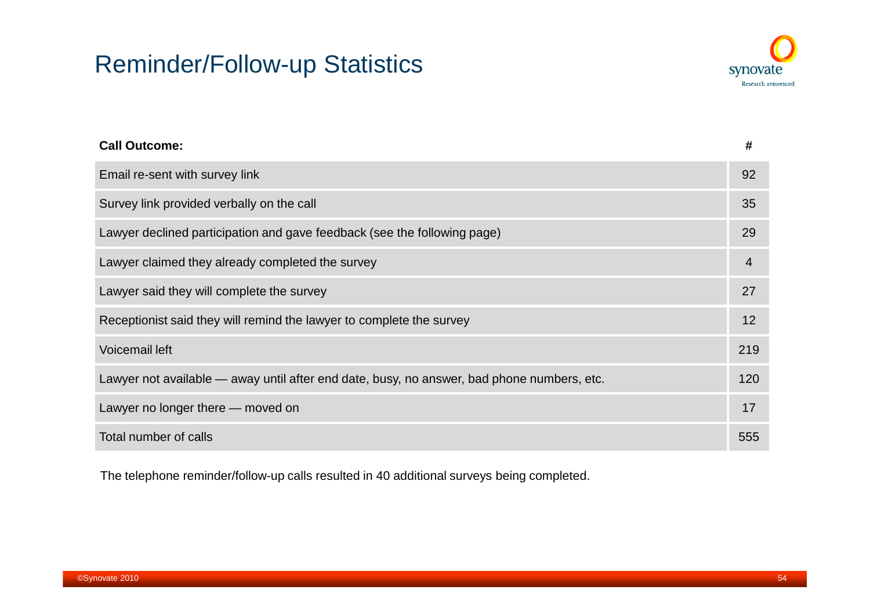### Reminder/Follow-up Statistics



| <b>Call Outcome:</b>                                                                       | #   |
|--------------------------------------------------------------------------------------------|-----|
| Email re-sent with survey link                                                             | 92  |
| Survey link provided verbally on the call                                                  | 35  |
| Lawyer declined participation and gave feedback (see the following page)                   | 29  |
| Lawyer claimed they already completed the survey                                           | 4   |
| Lawyer said they will complete the survey                                                  | 27  |
| Receptionist said they will remind the lawyer to complete the survey                       | 12  |
| <b>Voicemail left</b>                                                                      | 219 |
| Lawyer not available — away until after end date, busy, no answer, bad phone numbers, etc. | 120 |
| Lawyer no longer there — moved on                                                          | 17  |
| Total number of calls                                                                      | 555 |

The telephone reminder/follow-up calls resulted in 40 additional surveys being completed.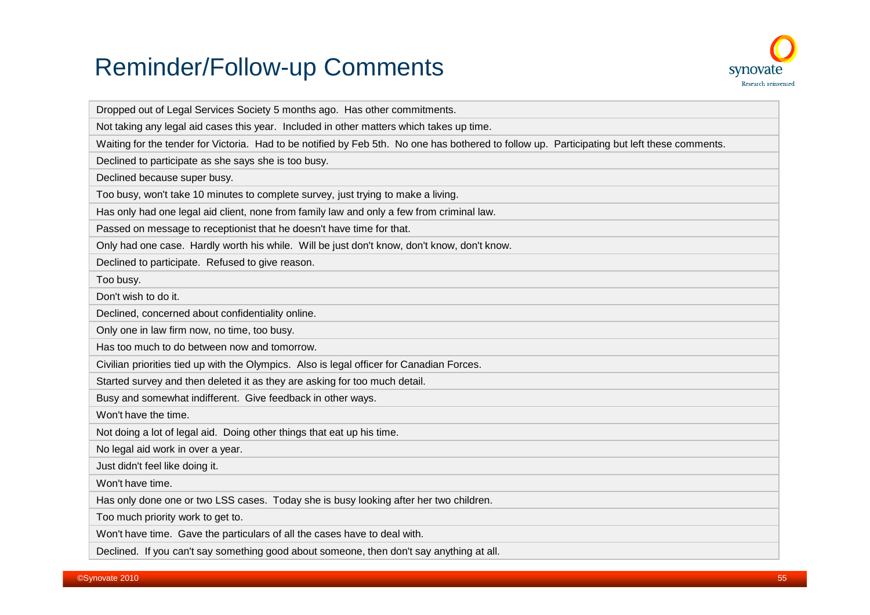## Reminder/Follow-up Comments



| Dropped out of Legal Services Society 5 months ago. Has other commitments.                                                                   |
|----------------------------------------------------------------------------------------------------------------------------------------------|
| Not taking any legal aid cases this year. Included in other matters which takes up time.                                                     |
| Waiting for the tender for Victoria. Had to be notified by Feb 5th. No one has bothered to follow up. Participating but left these comments. |
| Declined to participate as she says she is too busy.                                                                                         |
| Declined because super busy.                                                                                                                 |
| Too busy, won't take 10 minutes to complete survey, just trying to make a living.                                                            |
| Has only had one legal aid client, none from family law and only a few from criminal law.                                                    |
| Passed on message to receptionist that he doesn't have time for that.                                                                        |
| Only had one case. Hardly worth his while. Will be just don't know, don't know, don't know.                                                  |
| Declined to participate. Refused to give reason.                                                                                             |
| Too busy.                                                                                                                                    |
| Don't wish to do it.                                                                                                                         |
| Declined, concerned about confidentiality online.                                                                                            |
| Only one in law firm now, no time, too busy.                                                                                                 |
| Has too much to do between now and tomorrow.                                                                                                 |
| Civilian priorities tied up with the Olympics. Also is legal officer for Canadian Forces.                                                    |
| Started survey and then deleted it as they are asking for too much detail.                                                                   |
| Busy and somewhat indifferent. Give feedback in other ways.                                                                                  |
| Won't have the time.                                                                                                                         |
| Not doing a lot of legal aid. Doing other things that eat up his time.                                                                       |
| No legal aid work in over a year.                                                                                                            |
| Just didn't feel like doing it.                                                                                                              |
| Won't have time.                                                                                                                             |
| Has only done one or two LSS cases. Today she is busy looking after her two children.                                                        |
| Too much priority work to get to.                                                                                                            |
| Won't have time. Gave the particulars of all the cases have to deal with.                                                                    |
| Declined. If you can't say something good about someone, then don't say anything at all.                                                     |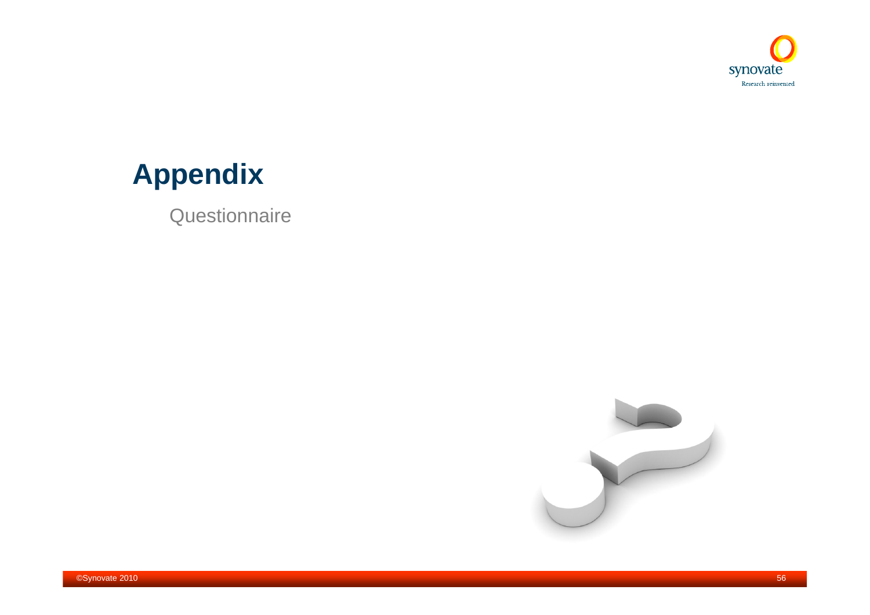

# **Appendix**

**Questionnaire** 

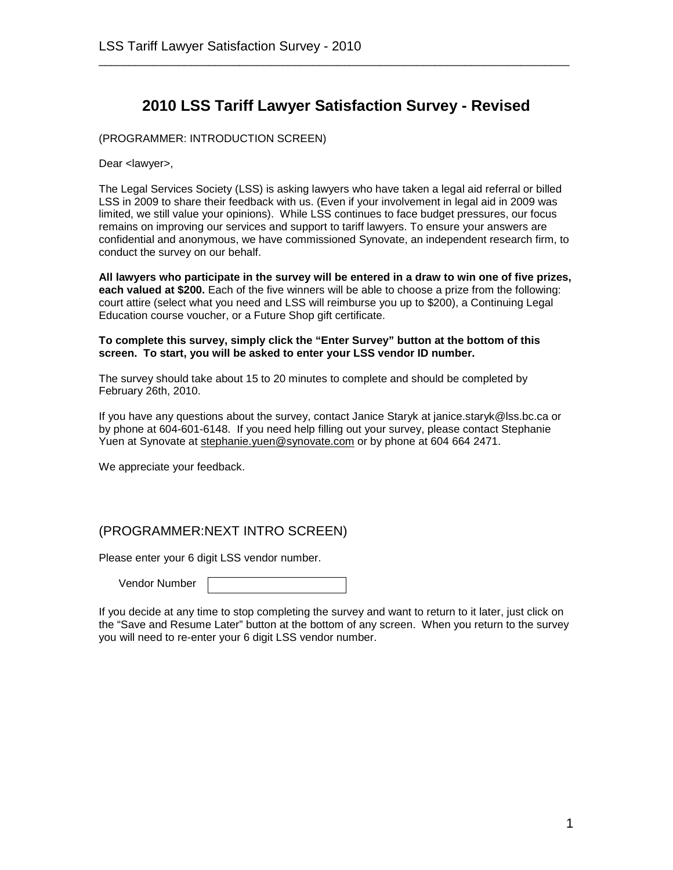#### **2010 LSS Tariff Lawyer Satisfaction Survey - Revised**

\_\_\_\_\_\_\_\_\_\_\_\_\_\_\_\_\_\_\_\_\_\_\_\_\_\_\_\_\_\_\_\_\_\_\_\_\_\_\_\_\_\_\_\_\_\_\_\_\_\_\_\_\_\_\_\_\_\_\_\_\_\_\_\_\_\_\_\_\_\_\_\_\_\_\_\_\_

(PROGRAMMER: INTRODUCTION SCREEN)

Dear <lawyer>,

The Legal Services Society (LSS) is asking lawyers who have taken a legal aid referral or billed LSS in 2009 to share their feedback with us. (Even if your involvement in legal aid in 2009 was limited, we still value your opinions). While LSS continues to face budget pressures, our focus remains on improving our services and support to tariff lawyers. To ensure your answers are confidential and anonymous, we have commissioned Synovate, an independent research firm, to conduct the survey on our behalf.

**All lawyers who participate in the survey will be entered in a draw to win one of five prizes, each valued at \$200.** Each of the five winners will be able to choose a prize from the following: court attire (select what you need and LSS will reimburse you up to \$200), a Continuing Legal Education course voucher, or a Future Shop gift certificate.

#### **To complete this survey, simply click the "Enter Survey" button at the bottom of this screen. To start, you will be asked to enter your LSS vendor ID number.**

The survey should take about 15 to 20 minutes to complete and should be completed by February 26th, 2010.

If you have any questions about the survey, contact Janice Staryk at janice.staryk@lss.bc.ca or by phone at 604-601-6148. If you need help filling out your survey, please contact Stephanie Yuen at Synovateat [stephanie.yuen@synovate.com](mailto:stephanie.yuen@synovate.com) or by phone at 604 664 2471.

We appreciate your feedback.

#### (PROGRAMMER:NEXT INTRO SCREEN)

Please enter your 6 digit LSS vendor number.

Vendor Number

If you decide at any time to stop completing the survey and want to return to it later, just click on the "Save and Resume Later" button at the bottom of any screen. When you return to the survey you will need to re-enter your 6 digit LSS vendor number.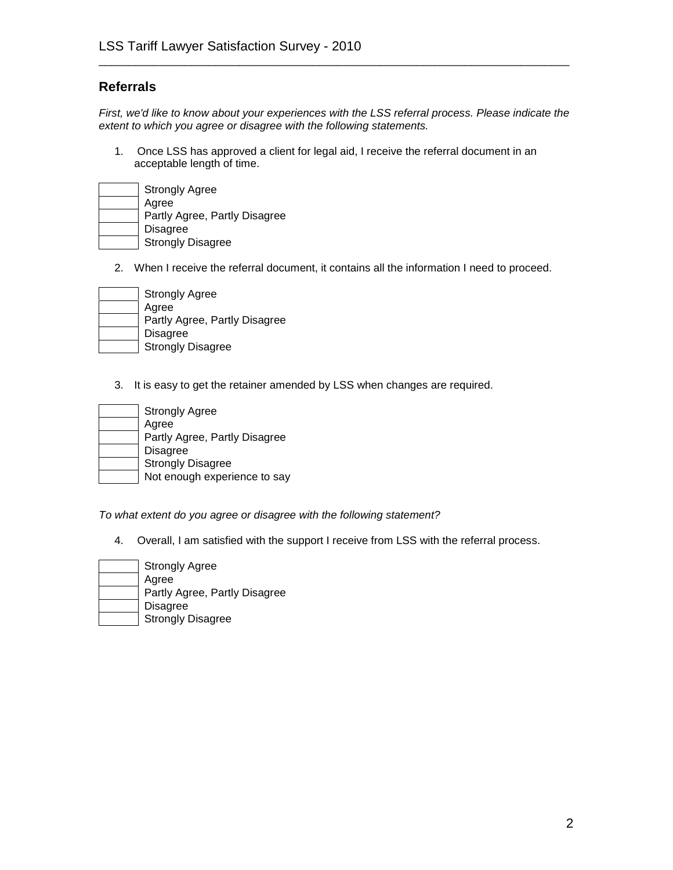#### **Referrals**

*First, we'd like to know about your experiences with the LSS referral process. Please indicate the extent to which you agree or disagree with the following statements.*

\_\_\_\_\_\_\_\_\_\_\_\_\_\_\_\_\_\_\_\_\_\_\_\_\_\_\_\_\_\_\_\_\_\_\_\_\_\_\_\_\_\_\_\_\_\_\_\_\_\_\_\_\_\_\_\_\_\_\_\_\_\_\_\_\_\_\_\_\_\_\_\_\_\_\_\_\_

1. Once LSS has approved a client for legal aid, I receive the referral document in an acceptable length of time.

| <b>Strongly Agree</b>         |
|-------------------------------|
| Agree                         |
| Partly Agree, Partly Disagree |
| <b>Disagree</b>               |
| <b>Strongly Disagree</b>      |

2. When I receive the referral document, it contains all the information I need to proceed.

| <b>Strongly Agree</b>         |
|-------------------------------|
| Agree                         |
| Partly Agree, Partly Disagree |
| Disagree                      |
| <b>Strongly Disagree</b>      |

3. It is easy to get the retainer amended by LSS when changes are required.

| <b>Strongly Agree</b>         |
|-------------------------------|
| Agree                         |
| Partly Agree, Partly Disagree |
| <b>Disagree</b>               |
| <b>Strongly Disagree</b>      |
| Not enough experience to say  |

*To what extent do you agree or disagree with the following statement?*

4. Overall, I am satisfied with the support I receive from LSS with the referral process.

| <b>Strongly Agree</b>         |
|-------------------------------|
| Agree                         |
| Partly Agree, Partly Disagree |
| <b>Disagree</b>               |
| <b>Strongly Disagree</b>      |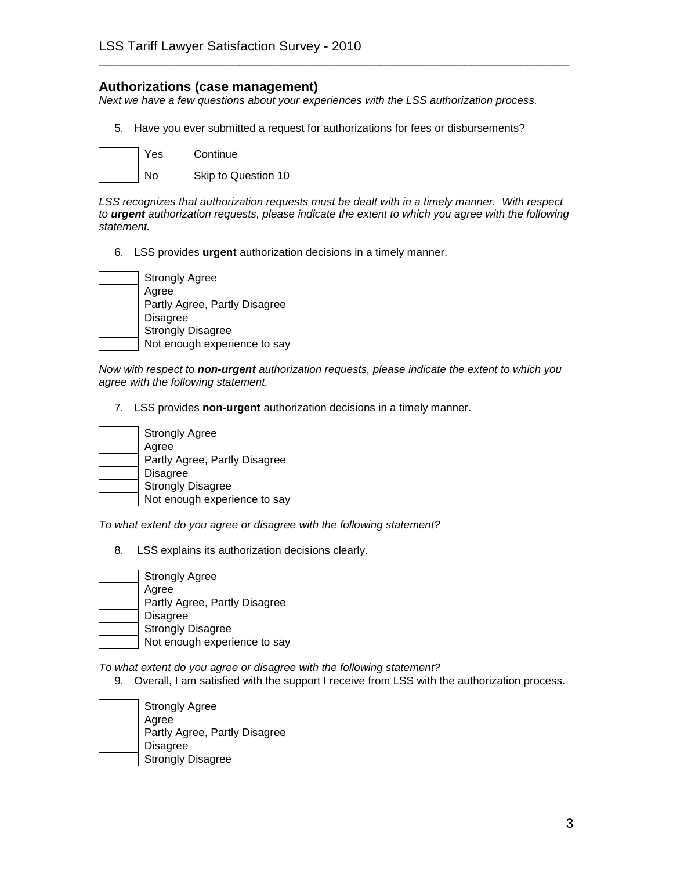#### **Authorizations (case management)**

*Next we have a few questions about your experiences with the LSS authorization process.*

\_\_\_\_\_\_\_\_\_\_\_\_\_\_\_\_\_\_\_\_\_\_\_\_\_\_\_\_\_\_\_\_\_\_\_\_\_\_\_\_\_\_\_\_\_\_\_\_\_\_\_\_\_\_\_\_\_\_\_\_\_\_\_\_\_\_\_\_\_\_\_\_\_\_\_\_\_

5. Have you ever submitted a request for authorizations for fees or disbursements?



*LSS recognizes that authorization requests must be dealt with in a timely manner. With respect to urgent authorization requests, please indicate the extent to which you agree with the following statement.*

6. LSS provides **urgent** authorization decisions in a timely manner.

| <b>Strongly Agree</b>         |
|-------------------------------|
| Agree                         |
| Partly Agree, Partly Disagree |
| <b>Disagree</b>               |
| <b>Strongly Disagree</b>      |
| Not enough experience to say  |

*Now with respect to non-urgent authorization requests, please indicate the extent to which you agree with the following statement.*

7. LSS provides **non-urgent** authorization decisions in a timely manner.

| <b>Strongly Agree</b>         |
|-------------------------------|
| Agree                         |
| Partly Agree, Partly Disagree |
| <b>Disagree</b>               |
| <b>Strongly Disagree</b>      |
| Not enough experience to say  |

*To what extent do you agree or disagree with the following statement?*

8. LSS explains its authorization decisions clearly.

| <b>Strongly Agree</b>         |
|-------------------------------|
| Agree                         |
| Partly Agree, Partly Disagree |
| <b>Disagree</b>               |
| <b>Strongly Disagree</b>      |
| Not enough experience to say  |

*To what extent do you agree or disagree with the following statement?*

9. Overall, I am satisfied with the support I receive from LSS with the authorization process.

| <b>Strongly Agree</b>         |
|-------------------------------|
| Agree                         |
| Partly Agree, Partly Disagree |
| <b>Disagree</b>               |
| <b>Strongly Disagree</b>      |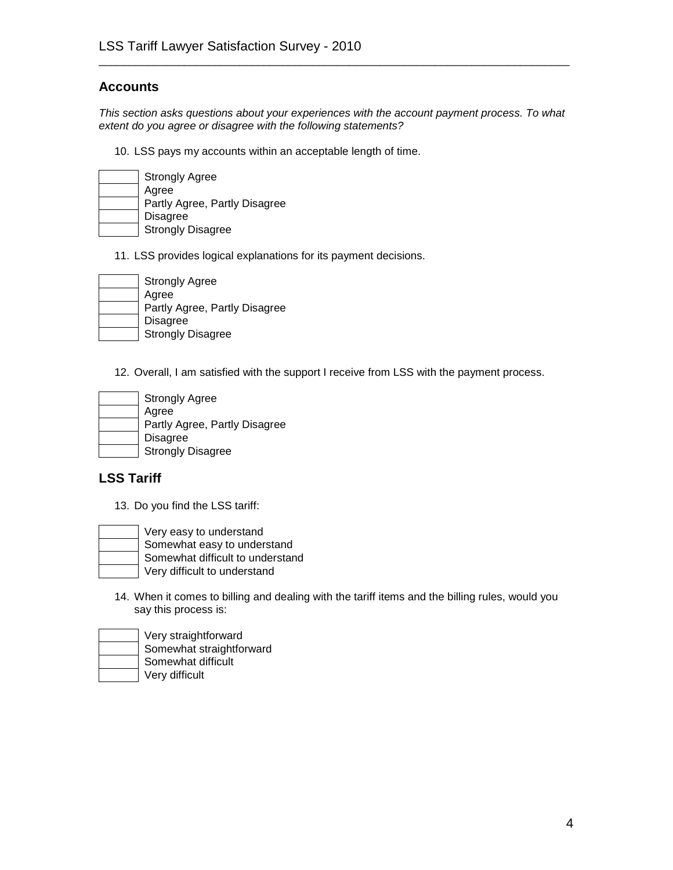#### **Accounts**

*This section asks questions about your experiences with the account payment process. To what extent do you agree or disagree with the following statements?*

\_\_\_\_\_\_\_\_\_\_\_\_\_\_\_\_\_\_\_\_\_\_\_\_\_\_\_\_\_\_\_\_\_\_\_\_\_\_\_\_\_\_\_\_\_\_\_\_\_\_\_\_\_\_\_\_\_\_\_\_\_\_\_\_\_\_\_\_\_\_\_\_\_\_\_\_\_

10. LSS pays my accounts within an acceptable length of time.

| <b>Strongly Agree</b>         |
|-------------------------------|
| Agree                         |
| Partly Agree, Partly Disagree |
| Disagree                      |
| <b>Strongly Disagree</b>      |

11. LSS provides logical explanations for its payment decisions.

| Strongly Agree                |
|-------------------------------|
| Agree                         |
| Partly Agree, Partly Disagree |
| <b>Disagree</b>               |
| <b>Strongly Disagree</b>      |

12. Overall, I am satisfied with the support I receive from LSS with the payment process.

| <b>Strongly Agree</b>         |
|-------------------------------|
| Agree                         |
| Partly Agree, Partly Disagree |
| <b>Disagree</b>               |
| <b>Strongly Disagree</b>      |

#### **LSS Tariff**

13. Do you find the LSS tariff:

| Very easy to understand          |  |
|----------------------------------|--|
| Somewhat easy to understand      |  |
| Somewhat difficult to understand |  |
| Very difficult to understand     |  |

14. When it comes to billing and dealing with the tariff items and the billing rules, would you say this process is:

| Very straightforward     |
|--------------------------|
| Somewhat straightforward |
| Somewhat difficult       |
| Very difficult           |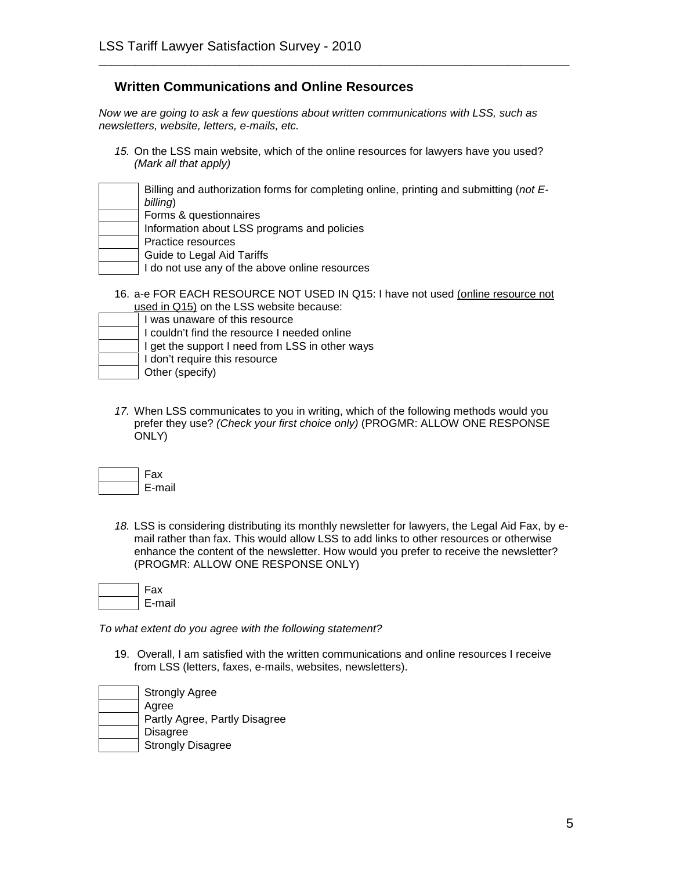*Now we are going to ask a few questions about written communications with LSS, such as newsletters, website, letters, e-mails, etc.*

*15.* On the LSS main website, which of the online resources for lawyers have you used? *(Mark all that apply)*

\_\_\_\_\_\_\_\_\_\_\_\_\_\_\_\_\_\_\_\_\_\_\_\_\_\_\_\_\_\_\_\_\_\_\_\_\_\_\_\_\_\_\_\_\_\_\_\_\_\_\_\_\_\_\_\_\_\_\_\_\_\_\_\_\_\_\_\_\_\_\_\_\_\_\_\_\_

| Billing and authorization forms for completing online, printing and submitting (not E-<br>billing) |
|----------------------------------------------------------------------------------------------------|
| Forms & questionnaires                                                                             |
| Information about LSS programs and policies                                                        |
| Practice resources                                                                                 |
| Guide to Legal Aid Tariffs                                                                         |
| I do not use any of the above online resources                                                     |
|                                                                                                    |

16. a-e FOR EACH RESOURCE NOT USED IN Q15: I have not used (online resource not used in Q15) on the LSS website because:

| I was unaware of this resource                  |
|-------------------------------------------------|
| I couldn't find the resource I needed online    |
| I get the support I need from LSS in other ways |
| I don't require this resource                   |
| Other (specify)                                 |
|                                                 |

*17.* When LSS communicates to you in writing, which of the following methods would you prefer they use? *(Check your first choice only)* (PROGMR: ALLOW ONE RESPONSE ONLY)

| . нx |
|------|
| mail |

*18.* LSS is considering distributing its monthly newsletter for lawyers, the Legal Aid Fax, by email rather than fax. This would allow LSS to add links to other resources or otherwise enhance the content of the newsletter. How would you prefer to receive the newsletter? (PROGMR: ALLOW ONE RESPONSE ONLY)

| -ах   |
|-------|
| ∙mail |

*To what extent do you agree with the following statement?*

19. Overall, I am satisfied with the written communications and online resources I receive from LSS (letters, faxes, e-mails, websites, newsletters).

| <b>Strongly Agree</b>         |
|-------------------------------|
| Agree                         |
| Partly Agree, Partly Disagree |
| <b>Disagree</b>               |
| <b>Strongly Disagree</b>      |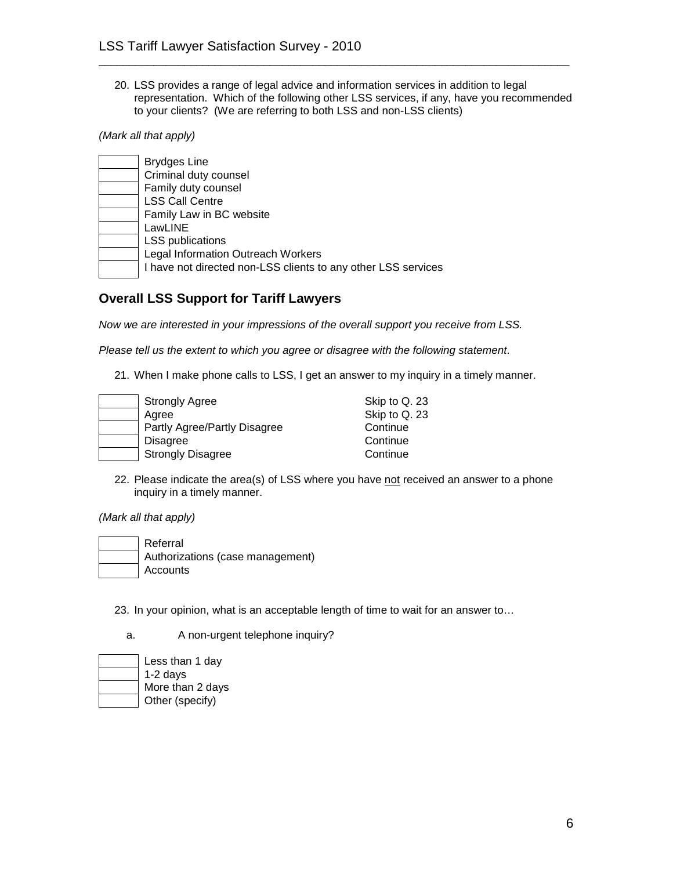20. LSS provides a range of legal advice and information services in addition to legal representation. Which of the following other LSS services, if any, have you recommended to your clients? (We are referring to both LSS and non-LSS clients)

\_\_\_\_\_\_\_\_\_\_\_\_\_\_\_\_\_\_\_\_\_\_\_\_\_\_\_\_\_\_\_\_\_\_\_\_\_\_\_\_\_\_\_\_\_\_\_\_\_\_\_\_\_\_\_\_\_\_\_\_\_\_\_\_\_\_\_\_\_\_\_\_\_\_\_\_\_

*(Mark all that apply)*

| <b>Brydges Line</b>                                           |
|---------------------------------------------------------------|
| Criminal duty counsel                                         |
| Family duty counsel                                           |
| <b>LSS Call Centre</b>                                        |
| Family Law in BC website                                      |
| LawLINE                                                       |
| <b>LSS publications</b>                                       |
| Legal Information Outreach Workers                            |
| I have not directed non-LSS clients to any other LSS services |
|                                                               |

#### **Overall LSS Support for Tariff Lawyers**

*Now we are interested in your impressions of the overall support you receive from LSS.*

*Please tell us the extent to which you agree or disagree with the following statement*.

21. When I make phone calls to LSS, I get an answer to my inquiry in a timely manner.

| <b>Strongly Agree</b>        | Skip to Q. 23 |
|------------------------------|---------------|
| Agree                        | Skip to Q. 23 |
| Partly Agree/Partly Disagree | Continue      |
| <b>Disagree</b>              | Continue      |
| <b>Strongly Disagree</b>     | Continue      |

22. Please indicate the area(s) of LSS where you have not received an answer to a phone inquiry in a timely manner.

*(Mark all that apply)*

- Referral Authorizations (case management) **Accounts** 
	- 23. In your opinion, what is an acceptable length of time to wait for an answer to…
		- a. A non-urgent telephone inquiry?

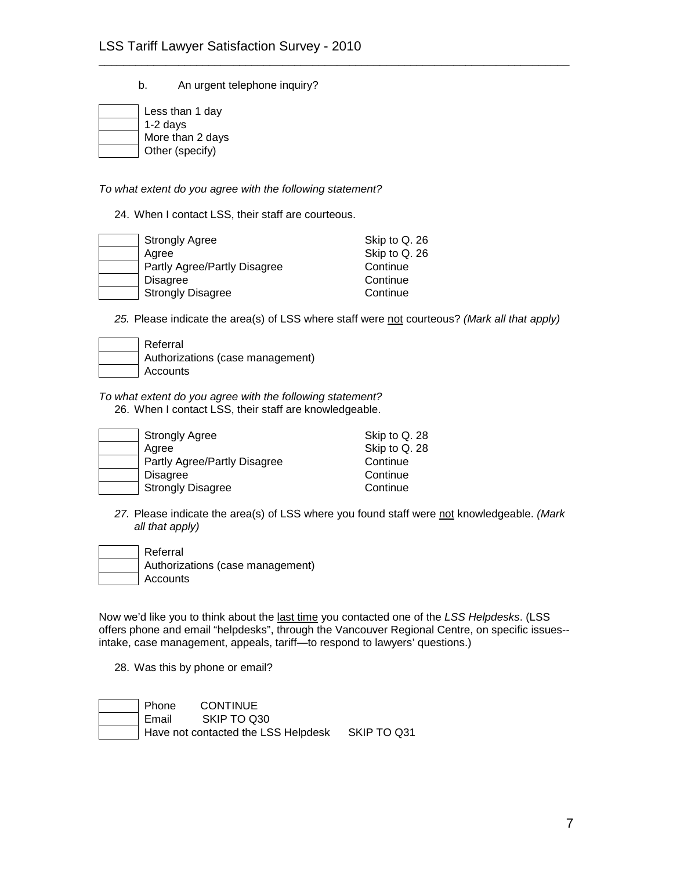b. An urgent telephone inquiry?

| Less than 1 day  |  |
|------------------|--|
| $1-2$ days       |  |
| More than 2 days |  |
| Other (specify)  |  |

*To what extent do you agree with the following statement?*

24. When I contact LSS, their staff are courteous.

| <b>Strongly Agree</b>        | Skip to Q. 26 |
|------------------------------|---------------|
| Agree                        | Skip to Q. 26 |
| Partly Agree/Partly Disagree | Continue      |
| <b>Disagree</b>              | Continue      |
| <b>Strongly Disagree</b>     | Continue      |

*25.* Please indicate the area(s) of LSS where staff were not courteous? *(Mark all that apply)*

\_\_\_\_\_\_\_\_\_\_\_\_\_\_\_\_\_\_\_\_\_\_\_\_\_\_\_\_\_\_\_\_\_\_\_\_\_\_\_\_\_\_\_\_\_\_\_\_\_\_\_\_\_\_\_\_\_\_\_\_\_\_\_\_\_\_\_\_\_\_\_\_\_\_\_\_\_

| Referral                         |
|----------------------------------|
| Authorizations (case management) |
| Accounts                         |

*To what extent do you agree with the following statement?*

26. When I contact LSS, their staff are knowledgeable.

| <b>Strongly Agree</b>        | Skip to Q. 28 |
|------------------------------|---------------|
| Agree                        | Skip to Q. 28 |
| Partly Agree/Partly Disagree | Continue      |
| <b>Disagree</b>              | Continue      |
| <b>Strongly Disagree</b>     | Continue      |

*27.* Please indicate the area(s) of LSS where you found staff were not knowledgeable. *(Mark all that apply)*

| <b>Referral</b>                  |
|----------------------------------|
| Authorizations (case management) |
| <b>Accounts</b>                  |

Now we'd like you to think about the last time you contacted one of the *LSS Helpdesks*. (LSS offers phone and email "helpdesks", through the Vancouver Regional Centre, on specific issues- intake, case management, appeals, tariff—to respond to lawyers' questions.)

28. Was this by phone or email?

| Phone   | <b>CONTINUE</b>                                 |  |
|---------|-------------------------------------------------|--|
| ı Email | SKIP TO Q30                                     |  |
|         | Have not contacted the LSS Helpdesk SKIP TO Q31 |  |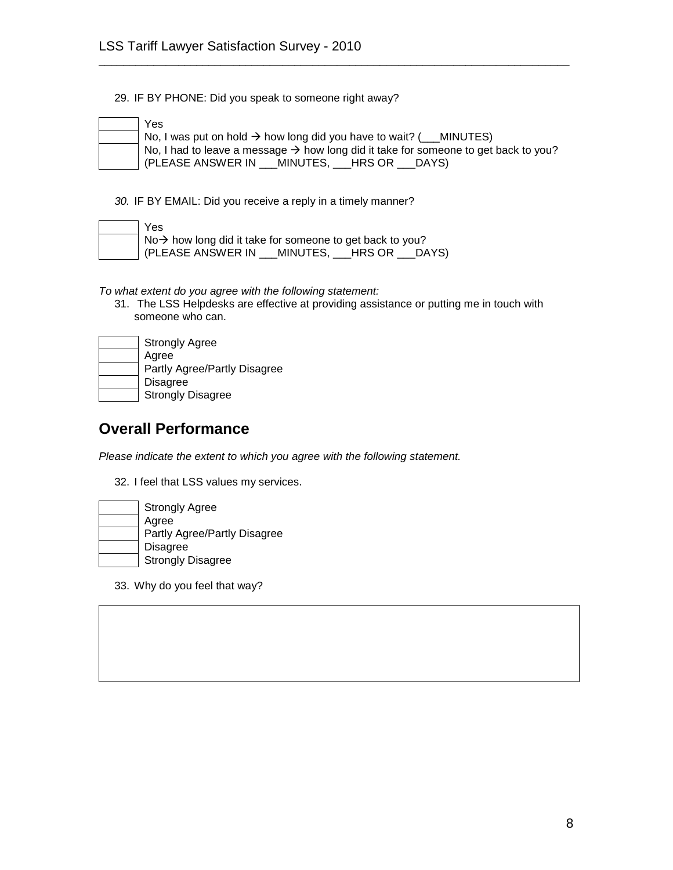29. IF BY PHONE: Did you speak to someone right away?

| Yes       |
|-----------|
| No,       |
| No,       |
| Г<br>/DI. |

 $\text{No}, \text{I}$  was put on hold  $\rightarrow$  how long did you have to wait? ( \_\_\_MINUTES) No, I had to leave a message  $\rightarrow$  how long did it take for someone to get back to you? (PLEASE ANSWER IN \_\_\_MINUTES, \_\_\_HRS OR \_\_\_DAYS)

\_\_\_\_\_\_\_\_\_\_\_\_\_\_\_\_\_\_\_\_\_\_\_\_\_\_\_\_\_\_\_\_\_\_\_\_\_\_\_\_\_\_\_\_\_\_\_\_\_\_\_\_\_\_\_\_\_\_\_\_\_\_\_\_\_\_\_\_\_\_\_\_\_\_\_\_\_

*30.* IF BY EMAIL: Did you receive a reply in a timely manner?

| Yes                                                                          |  |  |
|------------------------------------------------------------------------------|--|--|
| $\log$ No $\rightarrow$ how long did it take for someone to get back to you? |  |  |
| (PLEASE ANSWER IN MINUTES, HRS OR DAYS)                                      |  |  |

*To what extent do you agree with the following statement:*

31. The LSS Helpdesks are effective at providing assistance or putting me in touch with someone who can.

| <b>Strongly Agree</b>        |
|------------------------------|
| Agree                        |
| Partly Agree/Partly Disagree |
| <b>Disagree</b>              |
| <b>Strongly Disagree</b>     |

#### **Overall Performance**

*Please indicate the extent to which you agree with the following statement.*

32. I feel that LSS values my services.

| <b>Strongly Agree</b>        |
|------------------------------|
| Agree                        |
| Partly Agree/Partly Disagree |
| <b>Disagree</b>              |
| <b>Strongly Disagree</b>     |

33. Why do you feel that way?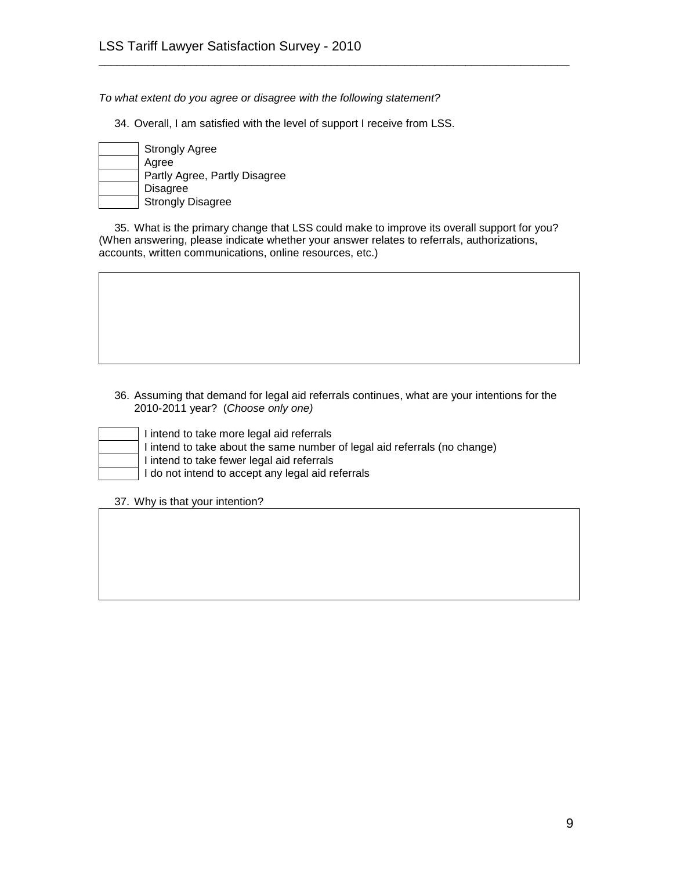*To what extent do you agree or disagree with the following statement?*

34. Overall, I am satisfied with the level of support I receive from LSS.

| <b>Strongly Agree</b>         |
|-------------------------------|
| Agree                         |
| Partly Agree, Partly Disagree |
| <b>Disagree</b>               |
| <b>Strongly Disagree</b>      |

35. What is the primary change that LSS could make to improve its overall support for you? (When answering, please indicate whether your answer relates to referrals, authorizations, accounts, written communications, online resources, etc.)

\_\_\_\_\_\_\_\_\_\_\_\_\_\_\_\_\_\_\_\_\_\_\_\_\_\_\_\_\_\_\_\_\_\_\_\_\_\_\_\_\_\_\_\_\_\_\_\_\_\_\_\_\_\_\_\_\_\_\_\_\_\_\_\_\_\_\_\_\_\_\_\_\_\_\_\_\_

36. Assuming that demand for legal aid referrals continues, what are your intentions for the 2010-2011 year? (*Choose only one)*

intend to take more legal aid referrals

intend to take about the same number of legal aid referrals (no change)

intend to take fewer legal aid referrals

do not intend to accept any legal aid referrals

37. Why is that your intention?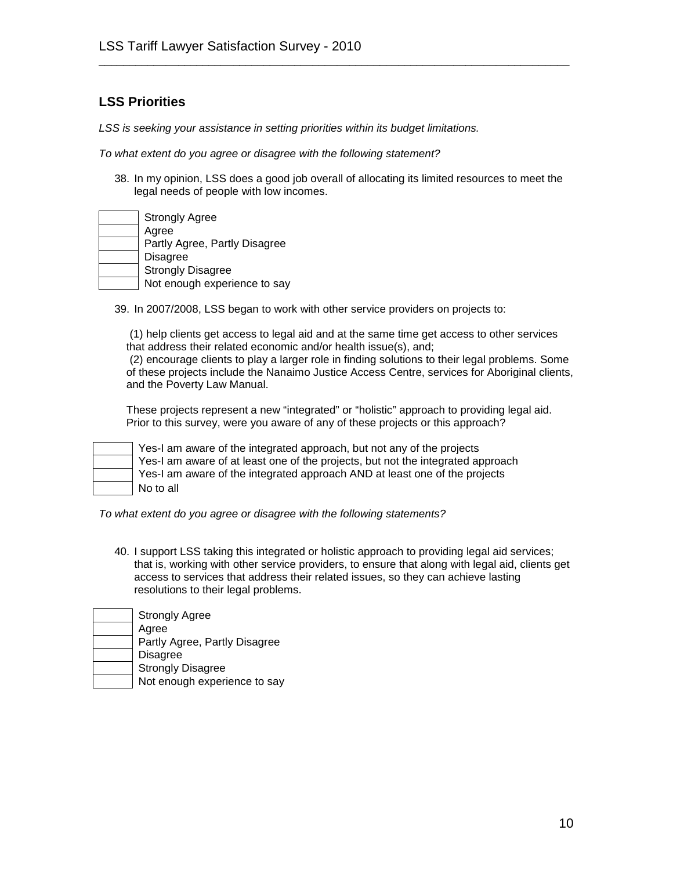*LSS is seeking your assistance in setting priorities within its budget limitations.*

*To what extent do you agree or disagree with the following statement?*

38. In my opinion, LSS does a good job overall of allocating its limited resources to meet the legal needs of people with low incomes.

\_\_\_\_\_\_\_\_\_\_\_\_\_\_\_\_\_\_\_\_\_\_\_\_\_\_\_\_\_\_\_\_\_\_\_\_\_\_\_\_\_\_\_\_\_\_\_\_\_\_\_\_\_\_\_\_\_\_\_\_\_\_\_\_\_\_\_\_\_\_\_\_\_\_\_\_\_

| <b>Strongly Agree</b>         |
|-------------------------------|
| Agree                         |
| Partly Agree, Partly Disagree |
| <b>Disagree</b>               |
| <b>Strongly Disagree</b>      |
| Not enough experience to say  |

39. In 2007/2008, LSS began to work with other service providers on projects to:

(1) help clients get access to legal aid and at the same time get access to other services that address their related economic and/or health issue(s), and;

(2) encourage clients to play a larger role in finding solutions to their legal problems. Some of these projects include the Nanaimo Justice Access Centre, services for Aboriginal clients, and the Poverty Law Manual.

These projects represent a new "integrated" or "holistic" approach to providing legal aid. Prior to this survey, were you aware of any of these projects or this approach?



Yes-I am aware of the integrated approach, but not any of the projects Yes-I am aware of at least one of the projects, but not the integrated approach Yes-I am aware of the integrated approach AND at least one of the projects No to all

*To what extent do you agree or disagree with the following statements?*

- 40. I support LSS taking this integrated or holistic approach to providing legal aid services; that is, working with other service providers, to ensure that along with legal aid, clients get access to services that address their related issues, so they can achieve lasting resolutions to their legal problems.
- Strongly Agree Agree Partly Agree, Partly Disagree Disagree Strongly Disagree Not enough experience to say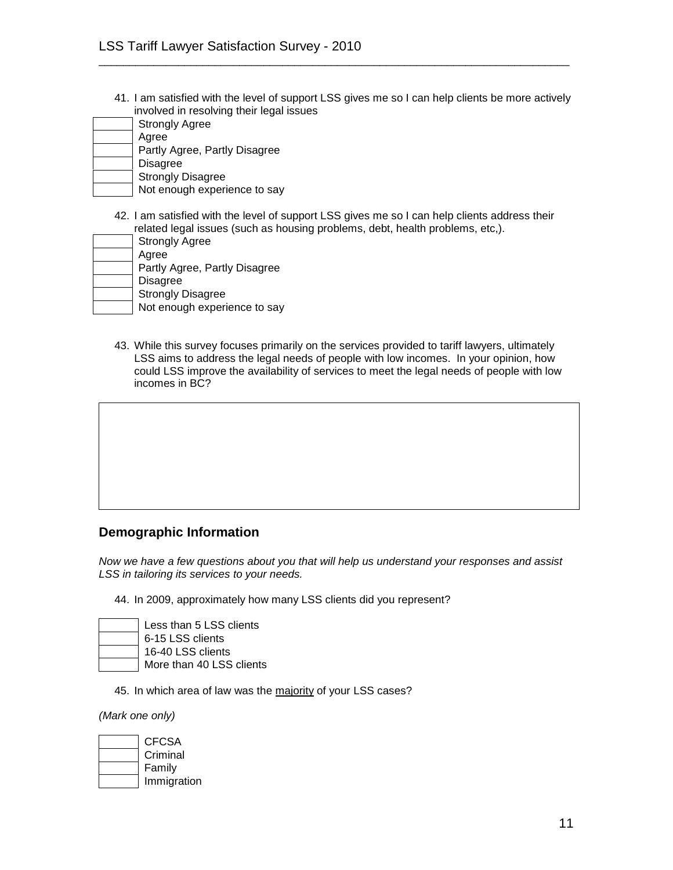41. I am satisfied with the level of support LSS gives me so I can help clients be more actively involved in resolving their legal issues

\_\_\_\_\_\_\_\_\_\_\_\_\_\_\_\_\_\_\_\_\_\_\_\_\_\_\_\_\_\_\_\_\_\_\_\_\_\_\_\_\_\_\_\_\_\_\_\_\_\_\_\_\_\_\_\_\_\_\_\_\_\_\_\_\_\_\_\_\_\_\_\_\_\_\_\_\_

| <b>Strongly Agree</b>         |
|-------------------------------|
| Agree                         |
| Partly Agree, Partly Disagree |
| <b>Disagree</b>               |
| <b>Strongly Disagree</b>      |
| Not enough experience to say  |

42. I am satisfied with the level of support LSS gives me so I can help clients address their related legal issues (such as housing problems, debt, health problems, etc,).

| <b>Strongly Agree</b>         |
|-------------------------------|
| Agree                         |
| Partly Agree, Partly Disagree |
| <b>Disagree</b>               |
| <b>Strongly Disagree</b>      |
| Not enough experience to say  |

43. While this survey focuses primarily on the services provided to tariff lawyers, ultimately LSS aims to address the legal needs of people with low incomes. In your opinion, how could LSS improve the availability of services to meet the legal needs of people with low incomes in BC?

#### **Demographic Information**

*Now we have a few questions about you that will help us understand your responses and assist LSS in tailoring its services to your needs.*

44. In 2009, approximately how many LSS clients did you represent?

| Less than 5 LSS clients  |
|--------------------------|
| 6-15 LSS clients         |
| 16-40 LSS clients        |
| More than 40 LSS clients |

45. In which area of law was the majority of your LSS cases?

*(Mark one only)*

| CFCSA       |
|-------------|
| Criminal    |
| Family      |
| Immigration |